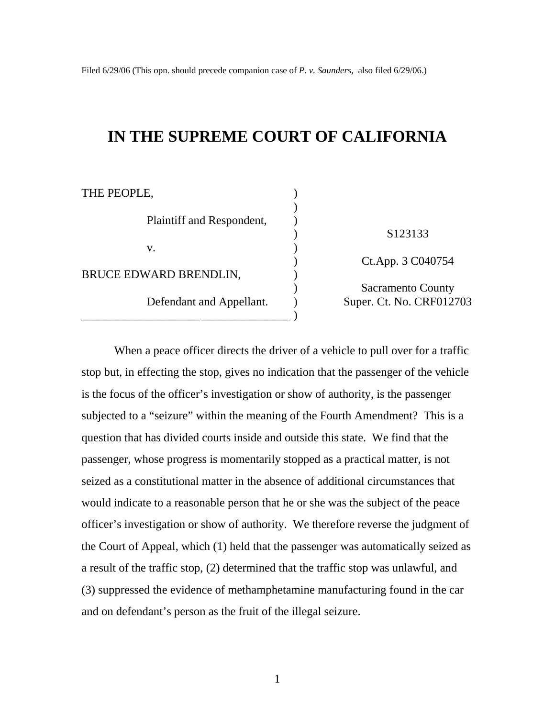# **IN THE SUPREME COURT OF CALIFORNIA**

| THE PEOPLE,               |                          |
|---------------------------|--------------------------|
| Plaintiff and Respondent, | S123133                  |
| V.                        | Ct.App. 3 C040754        |
| BRUCE EDWARD BRENDLIN,    | <b>Sacramento County</b> |
| Defendant and Appellant.  | Super. Ct. No. CRF012703 |

When a peace officer directs the driver of a vehicle to pull over for a traffic stop but, in effecting the stop, gives no indication that the passenger of the vehicle is the focus of the officer's investigation or show of authority, is the passenger subjected to a "seizure" within the meaning of the Fourth Amendment? This is a question that has divided courts inside and outside this state. We find that the passenger, whose progress is momentarily stopped as a practical matter, is not seized as a constitutional matter in the absence of additional circumstances that would indicate to a reasonable person that he or she was the subject of the peace officer's investigation or show of authority. We therefore reverse the judgment of the Court of Appeal, which (1) held that the passenger was automatically seized as a result of the traffic stop, (2) determined that the traffic stop was unlawful, and (3) suppressed the evidence of methamphetamine manufacturing found in the car and on defendant's person as the fruit of the illegal seizure.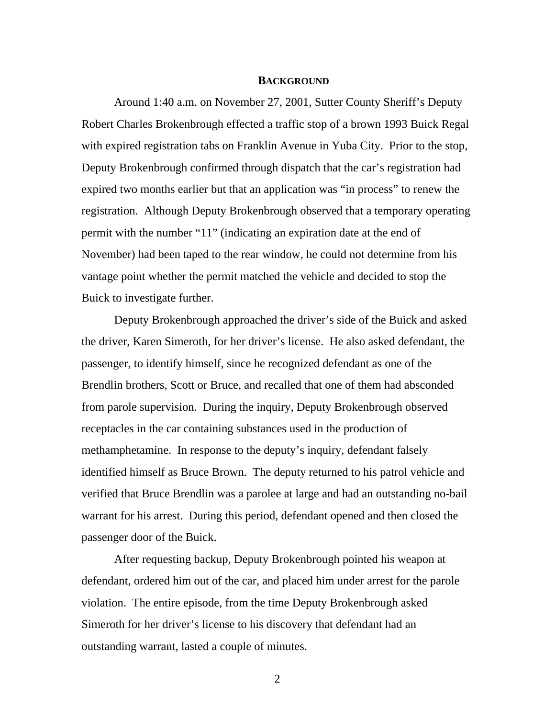### **BACKGROUND**

Around 1:40 a.m. on November 27, 2001, Sutter County Sheriff's Deputy Robert Charles Brokenbrough effected a traffic stop of a brown 1993 Buick Regal with expired registration tabs on Franklin Avenue in Yuba City. Prior to the stop, Deputy Brokenbrough confirmed through dispatch that the car's registration had expired two months earlier but that an application was "in process" to renew the registration. Although Deputy Brokenbrough observed that a temporary operating permit with the number "11" (indicating an expiration date at the end of November) had been taped to the rear window, he could not determine from his vantage point whether the permit matched the vehicle and decided to stop the Buick to investigate further.

Deputy Brokenbrough approached the driver's side of the Buick and asked the driver, Karen Simeroth, for her driver's license. He also asked defendant, the passenger, to identify himself, since he recognized defendant as one of the Brendlin brothers, Scott or Bruce, and recalled that one of them had absconded from parole supervision. During the inquiry, Deputy Brokenbrough observed receptacles in the car containing substances used in the production of methamphetamine. In response to the deputy's inquiry, defendant falsely identified himself as Bruce Brown. The deputy returned to his patrol vehicle and verified that Bruce Brendlin was a parolee at large and had an outstanding no-bail warrant for his arrest. During this period, defendant opened and then closed the passenger door of the Buick.

After requesting backup, Deputy Brokenbrough pointed his weapon at defendant, ordered him out of the car, and placed him under arrest for the parole violation. The entire episode, from the time Deputy Brokenbrough asked Simeroth for her driver's license to his discovery that defendant had an outstanding warrant, lasted a couple of minutes.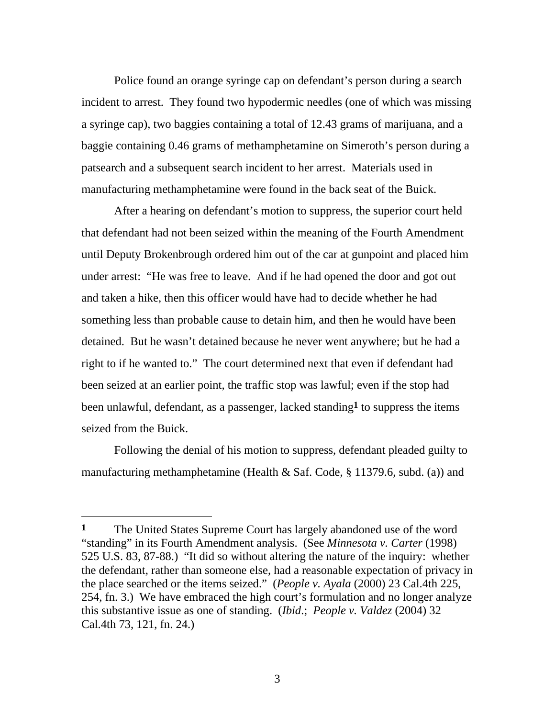Police found an orange syringe cap on defendant's person during a search incident to arrest. They found two hypodermic needles (one of which was missing a syringe cap), two baggies containing a total of 12.43 grams of marijuana, and a baggie containing 0.46 grams of methamphetamine on Simeroth's person during a patsearch and a subsequent search incident to her arrest. Materials used in manufacturing methamphetamine were found in the back seat of the Buick.

After a hearing on defendant's motion to suppress, the superior court held that defendant had not been seized within the meaning of the Fourth Amendment until Deputy Brokenbrough ordered him out of the car at gunpoint and placed him under arrest: "He was free to leave. And if he had opened the door and got out and taken a hike, then this officer would have had to decide whether he had something less than probable cause to detain him, and then he would have been detained. But he wasn't detained because he never went anywhere; but he had a right to if he wanted to." The court determined next that even if defendant had been seized at an earlier point, the traffic stop was lawful; even if the stop had been unlawful, defendant, as a passenger, lacked standing**1** to suppress the items seized from the Buick.

Following the denial of his motion to suppress, defendant pleaded guilty to manufacturing methamphetamine (Health & Saf. Code, § 11379.6, subd. (a)) and

**<sup>1</sup>** The United States Supreme Court has largely abandoned use of the word "standing" in its Fourth Amendment analysis. (See *Minnesota v. Carter* (1998) 525 U.S. 83, 87-88.) "It did so without altering the nature of the inquiry: whether the defendant, rather than someone else, had a reasonable expectation of privacy in the place searched or the items seized." (*People v. Ayala* (2000) 23 Cal.4th 225, 254, fn. 3.) We have embraced the high court's formulation and no longer analyze this substantive issue as one of standing. (*Ibid*.; *People v. Valdez* (2004) 32 Cal.4th 73, 121, fn. 24.)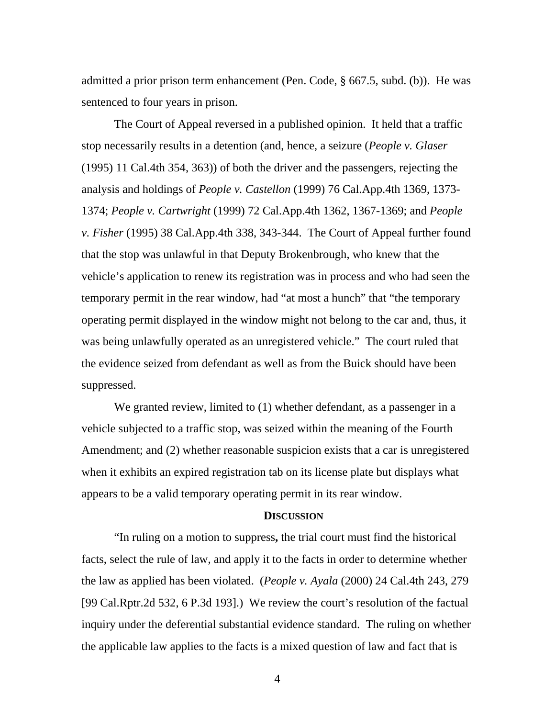admitted a prior prison term enhancement (Pen. Code, § 667.5, subd. (b)). He was sentenced to four years in prison.

The Court of Appeal reversed in a published opinion. It held that a traffic stop necessarily results in a detention (and, hence, a seizure (*People v. Glaser* (1995) 11 Cal.4th 354, 363)) of both the driver and the passengers, rejecting the analysis and holdings of *People v. Castellon* (1999) 76 Cal.App.4th 1369, 1373- 1374; *People v. Cartwright* (1999) 72 Cal.App.4th 1362, 1367-1369; and *People v. Fisher* (1995) 38 Cal.App.4th 338, 343-344. The Court of Appeal further found that the stop was unlawful in that Deputy Brokenbrough, who knew that the vehicle's application to renew its registration was in process and who had seen the temporary permit in the rear window, had "at most a hunch" that "the temporary operating permit displayed in the window might not belong to the car and, thus, it was being unlawfully operated as an unregistered vehicle." The court ruled that the evidence seized from defendant as well as from the Buick should have been suppressed.

We granted review, limited to (1) whether defendant, as a passenger in a vehicle subjected to a traffic stop, was seized within the meaning of the Fourth Amendment; and (2) whether reasonable suspicion exists that a car is unregistered when it exhibits an expired registration tab on its license plate but displays what appears to be a valid temporary operating permit in its rear window.

## **DISCUSSION**

"In ruling on a motion to suppress**,** the trial court must find the historical facts, select the rule of law, and apply it to the facts in order to determine whether the law as applied has been violated. (*People v. Ayala* (2000) 24 Cal.4th 243, 279 [99 Cal.Rptr.2d 532, 6 P.3d 193].) We review the court's resolution of the factual inquiry under the deferential substantial evidence standard. The ruling on whether the applicable law applies to the facts is a mixed question of law and fact that is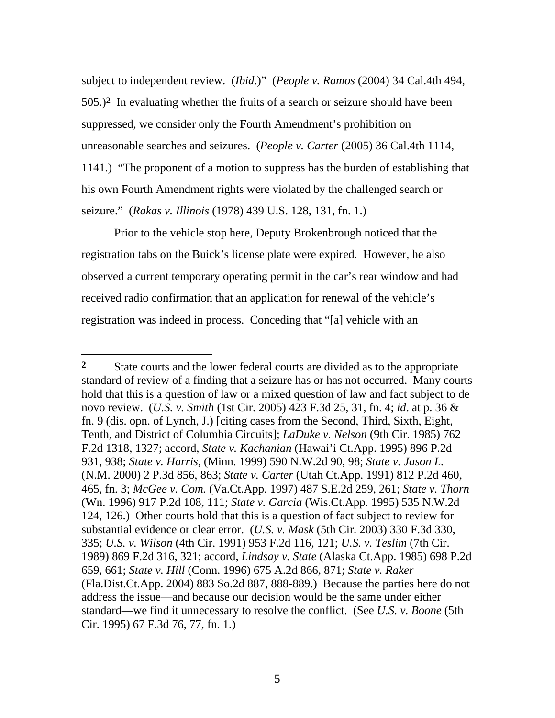subject to independent review. (*Ibid*.)" (*People v. Ramos* (2004) 34 Cal.4th 494, 505.)**2** In evaluating whether the fruits of a search or seizure should have been suppressed, we consider only the Fourth Amendment's prohibition on unreasonable searches and seizures. (*People v. Carter* (2005) 36 Cal.4th 1114, 1141.) "The proponent of a motion to suppress has the burden of establishing that his own Fourth Amendment rights were violated by the challenged search or seizure." (*Rakas v. Illinois* (1978) 439 U.S. 128, 131, fn. 1.)

Prior to the vehicle stop here, Deputy Brokenbrough noticed that the registration tabs on the Buick's license plate were expired. However, he also observed a current temporary operating permit in the car's rear window and had received radio confirmation that an application for renewal of the vehicle's registration was indeed in process. Conceding that "[a] vehicle with an

 $\overline{a}$ 

<sup>2</sup> State courts and the lower federal courts are divided as to the appropriate standard of review of a finding that a seizure has or has not occurred. Many courts hold that this is a question of law or a mixed question of law and fact subject to de novo review. (*U.S. v. Smith* (1st Cir. 2005) 423 F.3d 25, 31, fn. 4; *id*. at p. 36 & fn. 9 (dis. opn. of Lynch, J.) [citing cases from the Second, Third, Sixth, Eight, Tenth, and District of Columbia Circuits]; *LaDuke v. Nelson* (9th Cir. 1985) 762 F.2d 1318, 1327; accord, *State v. Kachanian* (Hawai'i Ct.App. 1995) 896 P.2d 931, 938; *State v. Harris*, (Minn. 1999) 590 N.W.2d 90, 98; *State v. Jason L.* (N.M. 2000) 2 P.3d 856, 863; *State v. Carter* (Utah Ct.App. 1991) 812 P.2d 460, 465, fn. 3; *McGee v. Com.* (Va.Ct.App. 1997) 487 S.E.2d 259, 261; *State v. Thorn* (Wn. 1996) 917 P.2d 108, 111; *State v. Garcia* (Wis.Ct.App. 1995) 535 N.W.2d 124, 126.) Other courts hold that this is a question of fact subject to review for substantial evidence or clear error. (*U.S. v. Mask* (5th Cir. 2003) 330 F.3d 330, 335; *U.S. v. Wilson* (4th Cir. 1991) 953 F.2d 116, 121; *U.S. v. Teslim* (7th Cir. 1989) 869 F.2d 316, 321; accord, *Lindsay v. State* (Alaska Ct.App. 1985) 698 P.2d 659, 661; *State v. Hill* (Conn. 1996) 675 A.2d 866, 871; *State v. Raker* (Fla.Dist.Ct.App. 2004) 883 So.2d 887, 888-889.) Because the parties here do not address the issue—and because our decision would be the same under either standard—we find it unnecessary to resolve the conflict. (See *U.S. v. Boone* (5th Cir. 1995) 67 F.3d 76, 77, fn. 1.)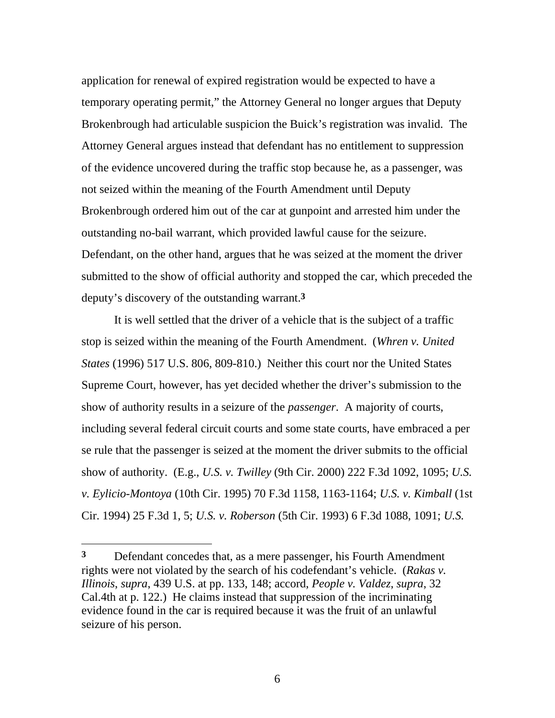application for renewal of expired registration would be expected to have a temporary operating permit," the Attorney General no longer argues that Deputy Brokenbrough had articulable suspicion the Buick's registration was invalid. The Attorney General argues instead that defendant has no entitlement to suppression of the evidence uncovered during the traffic stop because he, as a passenger, was not seized within the meaning of the Fourth Amendment until Deputy Brokenbrough ordered him out of the car at gunpoint and arrested him under the outstanding no-bail warrant, which provided lawful cause for the seizure. Defendant, on the other hand, argues that he was seized at the moment the driver submitted to the show of official authority and stopped the car, which preceded the deputy's discovery of the outstanding warrant.**3**

It is well settled that the driver of a vehicle that is the subject of a traffic stop is seized within the meaning of the Fourth Amendment. (*Whren v. United States* (1996) 517 U.S. 806, 809-810.) Neither this court nor the United States Supreme Court, however, has yet decided whether the driver's submission to the show of authority results in a seizure of the *passenger*. A majority of courts, including several federal circuit courts and some state courts, have embraced a per se rule that the passenger is seized at the moment the driver submits to the official show of authority. (E.g., *U.S. v. Twilley* (9th Cir. 2000) 222 F.3d 1092, 1095; *U.S. v. Eylicio-Montoya* (10th Cir. 1995) 70 F.3d 1158, 1163-1164; *U.S. v. Kimball* (1st Cir. 1994) 25 F.3d 1, 5; *U.S. v. Roberson* (5th Cir. 1993) 6 F.3d 1088, 1091; *U.S.* 

 $\overline{a}$ 

**<sup>3</sup>** Defendant concedes that, as a mere passenger, his Fourth Amendment rights were not violated by the search of his codefendant's vehicle. (*Rakas v. Illinois*, *supra*, 439 U.S. at pp. 133, 148; accord, *People v. Valdez*, *supra*, 32 Cal.4th at p. 122.) He claims instead that suppression of the incriminating evidence found in the car is required because it was the fruit of an unlawful seizure of his person.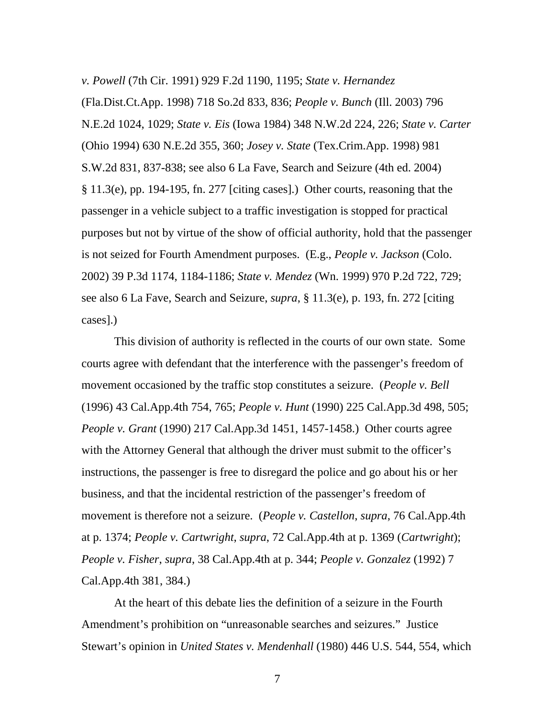*v. Powell* (7th Cir. 1991) 929 F.2d 1190, 1195; *State v. Hernandez*

(Fla.Dist.Ct.App. 1998) 718 So.2d 833, 836; *People v. Bunch* (Ill. 2003) 796 N.E.2d 1024, 1029; *State v. Eis* (Iowa 1984) 348 N.W.2d 224, 226; *State v. Carter* (Ohio 1994) 630 N.E.2d 355, 360; *Josey v. State* (Tex.Crim.App. 1998) 981 S.W.2d 831, 837-838; see also 6 La Fave, Search and Seizure (4th ed. 2004) § 11.3(e), pp. 194-195, fn. 277 [citing cases].) Other courts, reasoning that the passenger in a vehicle subject to a traffic investigation is stopped for practical purposes but not by virtue of the show of official authority, hold that the passenger is not seized for Fourth Amendment purposes. (E.g., *People v. Jackson* (Colo. 2002) 39 P.3d 1174, 1184-1186; *State v. Mendez* (Wn. 1999) 970 P.2d 722, 729; see also 6 La Fave, Search and Seizure, *supra*, § 11.3(e), p. 193, fn. 272 [citing cases].)

This division of authority is reflected in the courts of our own state. Some courts agree with defendant that the interference with the passenger's freedom of movement occasioned by the traffic stop constitutes a seizure. (*People v. Bell* (1996) 43 Cal.App.4th 754, 765; *People v. Hunt* (1990) 225 Cal.App.3d 498, 505; *People v. Grant* (1990) 217 Cal.App.3d 1451, 1457-1458.) Other courts agree with the Attorney General that although the driver must submit to the officer's instructions, the passenger is free to disregard the police and go about his or her business, and that the incidental restriction of the passenger's freedom of movement is therefore not a seizure. (*People v. Castellon*, *supra*, 76 Cal.App.4th at p. 1374; *People v. Cartwright*, *supra*, 72 Cal.App.4th at p. 1369 (*Cartwright*); *People v. Fisher*, *supra*, 38 Cal.App.4th at p. 344; *People v. Gonzalez* (1992) 7 Cal.App.4th 381, 384.)

At the heart of this debate lies the definition of a seizure in the Fourth Amendment's prohibition on "unreasonable searches and seizures." Justice Stewart's opinion in *United States v. Mendenhall* (1980) 446 U.S. 544, 554, which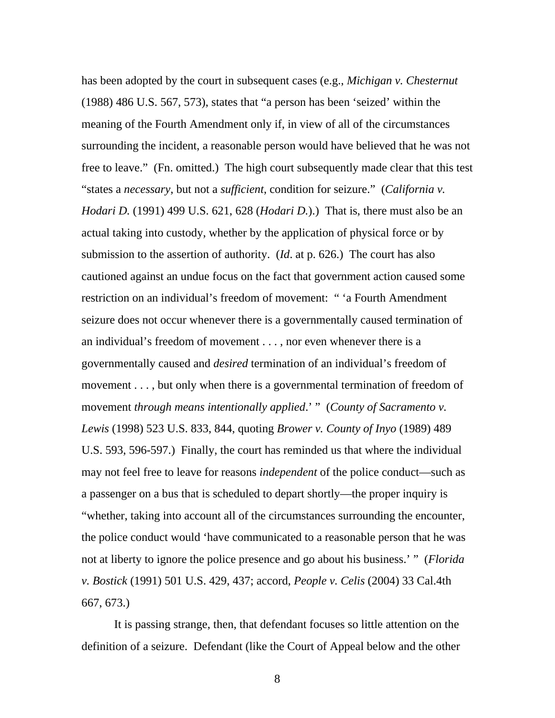has been adopted by the court in subsequent cases (e.g., *Michigan v. Chesternut* (1988) 486 U.S. 567, 573), states that "a person has been 'seized' within the meaning of the Fourth Amendment only if, in view of all of the circumstances surrounding the incident, a reasonable person would have believed that he was not free to leave." (Fn. omitted.) The high court subsequently made clear that this test "states a *necessary*, but not a *sufficient*, condition for seizure." (*California v. Hodari D.* (1991) 499 U.S. 621, 628 (*Hodari D.*).) That is, there must also be an actual taking into custody, whether by the application of physical force or by submission to the assertion of authority. (*Id*. at p. 626.) The court has also cautioned against an undue focus on the fact that government action caused some restriction on an individual's freedom of movement: " 'a Fourth Amendment seizure does not occur whenever there is a governmentally caused termination of an individual's freedom of movement . . . , nor even whenever there is a governmentally caused and *desired* termination of an individual's freedom of movement . . . , but only when there is a governmental termination of freedom of movement *through means intentionally applied*.' " (*County of Sacramento v. Lewis* (1998) 523 U.S. 833, 844, quoting *Brower v. County of Inyo* (1989) 489 U.S. 593, 596-597.) Finally, the court has reminded us that where the individual may not feel free to leave for reasons *independent* of the police conduct—such as a passenger on a bus that is scheduled to depart shortly—the proper inquiry is "whether, taking into account all of the circumstances surrounding the encounter, the police conduct would 'have communicated to a reasonable person that he was not at liberty to ignore the police presence and go about his business.' " (*Florida v. Bostick* (1991) 501 U.S. 429, 437; accord, *People v. Celis* (2004) 33 Cal.4th 667, 673.)

It is passing strange, then, that defendant focuses so little attention on the definition of a seizure. Defendant (like the Court of Appeal below and the other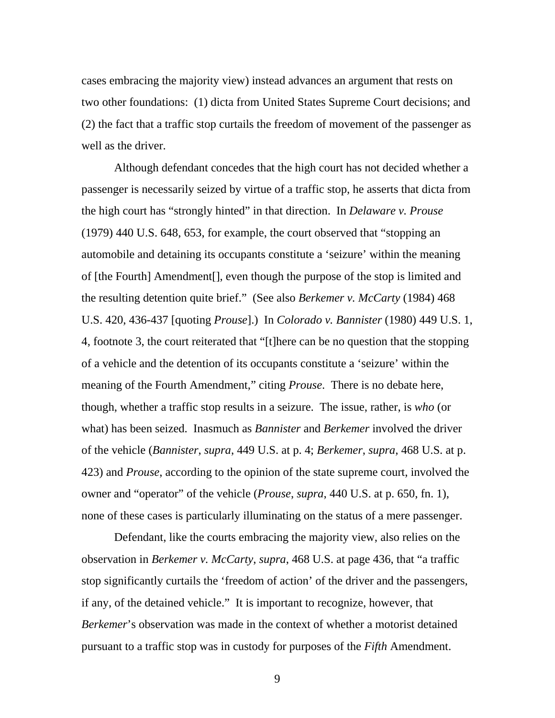cases embracing the majority view) instead advances an argument that rests on two other foundations: (1) dicta from United States Supreme Court decisions; and (2) the fact that a traffic stop curtails the freedom of movement of the passenger as well as the driver.

Although defendant concedes that the high court has not decided whether a passenger is necessarily seized by virtue of a traffic stop, he asserts that dicta from the high court has "strongly hinted" in that direction. In *Delaware v. Prouse* (1979) 440 U.S. 648, 653, for example, the court observed that "stopping an automobile and detaining its occupants constitute a 'seizure' within the meaning of [the Fourth] Amendment[], even though the purpose of the stop is limited and the resulting detention quite brief." (See also *Berkemer v. McCarty* (1984) 468 U.S. 420, 436-437 [quoting *Prouse*].) In *Colorado v. Bannister* (1980) 449 U.S. 1, 4, footnote 3, the court reiterated that "[t]here can be no question that the stopping of a vehicle and the detention of its occupants constitute a 'seizure' within the meaning of the Fourth Amendment," citing *Prouse*. There is no debate here, though, whether a traffic stop results in a seizure. The issue, rather, is *who* (or what) has been seized. Inasmuch as *Bannister* and *Berkemer* involved the driver of the vehicle (*Bannister*, *supra*, 449 U.S. at p. 4; *Berkemer*, *supra*, 468 U.S. at p. 423) and *Prouse*, according to the opinion of the state supreme court, involved the owner and "operator" of the vehicle (*Prouse*, *supra*, 440 U.S. at p. 650, fn. 1), none of these cases is particularly illuminating on the status of a mere passenger.

Defendant, like the courts embracing the majority view, also relies on the observation in *Berkemer v. McCarty*, *supra*, 468 U.S. at page 436, that "a traffic stop significantly curtails the 'freedom of action' of the driver and the passengers, if any, of the detained vehicle." It is important to recognize, however, that *Berkemer*'s observation was made in the context of whether a motorist detained pursuant to a traffic stop was in custody for purposes of the *Fifth* Amendment.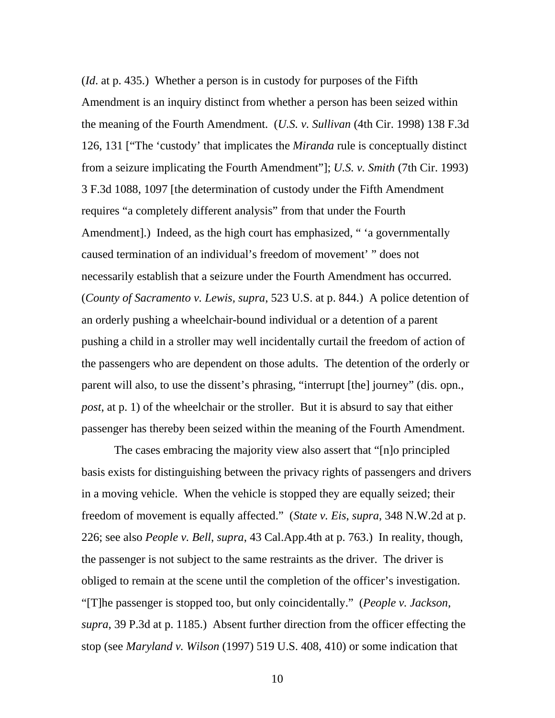(*Id*. at p. 435.) Whether a person is in custody for purposes of the Fifth Amendment is an inquiry distinct from whether a person has been seized within the meaning of the Fourth Amendment. (*U.S. v. Sullivan* (4th Cir. 1998) 138 F.3d 126, 131 ["The 'custody' that implicates the *Miranda* rule is conceptually distinct from a seizure implicating the Fourth Amendment"]; *U.S. v. Smith* (7th Cir. 1993) 3 F.3d 1088, 1097 [the determination of custody under the Fifth Amendment requires "a completely different analysis" from that under the Fourth Amendment].) Indeed, as the high court has emphasized, "a governmentally caused termination of an individual's freedom of movement' " does not necessarily establish that a seizure under the Fourth Amendment has occurred. (*County of Sacramento v. Lewis, supra*, 523 U.S. at p. 844.) A police detention of an orderly pushing a wheelchair-bound individual or a detention of a parent pushing a child in a stroller may well incidentally curtail the freedom of action of the passengers who are dependent on those adults. The detention of the orderly or parent will also, to use the dissent's phrasing, "interrupt [the] journey" (dis. opn., *post*, at p. 1) of the wheelchair or the stroller. But it is absurd to say that either passenger has thereby been seized within the meaning of the Fourth Amendment.

The cases embracing the majority view also assert that "[n]o principled basis exists for distinguishing between the privacy rights of passengers and drivers in a moving vehicle. When the vehicle is stopped they are equally seized; their freedom of movement is equally affected." (*State v. Eis*, *supra*, 348 N.W.2d at p. 226; see also *People v. Bell*, *supra*, 43 Cal.App.4th at p. 763.) In reality, though, the passenger is not subject to the same restraints as the driver. The driver is obliged to remain at the scene until the completion of the officer's investigation. "[T]he passenger is stopped too, but only coincidentally." (*People v. Jackson*, *supra*, 39 P.3d at p. 1185.) Absent further direction from the officer effecting the stop (see *Maryland v. Wilson* (1997) 519 U.S. 408, 410) or some indication that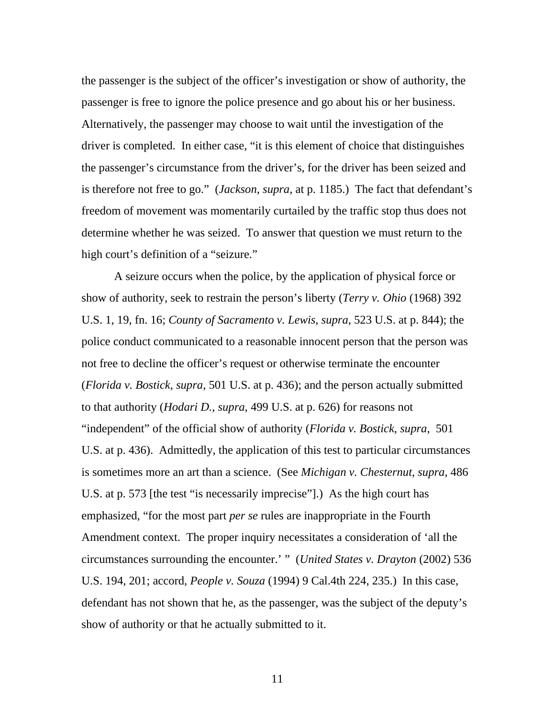the passenger is the subject of the officer's investigation or show of authority, the passenger is free to ignore the police presence and go about his or her business. Alternatively, the passenger may choose to wait until the investigation of the driver is completed. In either case, "it is this element of choice that distinguishes the passenger's circumstance from the driver's, for the driver has been seized and is therefore not free to go." (*Jackson*, *supra*, at p. 1185.) The fact that defendant's freedom of movement was momentarily curtailed by the traffic stop thus does not determine whether he was seized. To answer that question we must return to the high court's definition of a "seizure."

A seizure occurs when the police, by the application of physical force or show of authority, seek to restrain the person's liberty (*Terry v. Ohio* (1968) 392 U.S. 1, 19, fn. 16; *County of Sacramento v. Lewis*, *supra*, 523 U.S. at p. 844); the police conduct communicated to a reasonable innocent person that the person was not free to decline the officer's request or otherwise terminate the encounter (*Florida v. Bostick*, *supra*, 501 U.S. at p. 436); and the person actually submitted to that authority (*Hodari D.*, *supra*, 499 U.S. at p. 626) for reasons not "independent" of the official show of authority (*Florida v. Bostick*, *supra*, 501 U.S. at p. 436). Admittedly, the application of this test to particular circumstances is sometimes more an art than a science. (See *Michigan v. Chesternut*, *supra*, 486 U.S. at p. 573 [the test "is necessarily imprecise"].) As the high court has emphasized, "for the most part *per se* rules are inappropriate in the Fourth Amendment context. The proper inquiry necessitates a consideration of 'all the circumstances surrounding the encounter.' " (*United States v. Drayton* (2002) 536 U.S. 194, 201; accord, *People v. Souza* (1994) 9 Cal.4th 224, 235.) In this case, defendant has not shown that he, as the passenger, was the subject of the deputy's show of authority or that he actually submitted to it.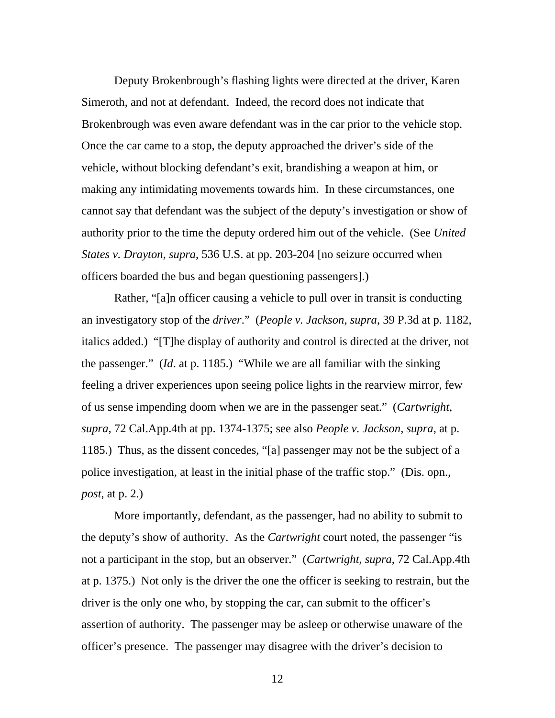Deputy Brokenbrough's flashing lights were directed at the driver, Karen Simeroth, and not at defendant. Indeed, the record does not indicate that Brokenbrough was even aware defendant was in the car prior to the vehicle stop. Once the car came to a stop, the deputy approached the driver's side of the vehicle, without blocking defendant's exit, brandishing a weapon at him, or making any intimidating movements towards him. In these circumstances, one cannot say that defendant was the subject of the deputy's investigation or show of authority prior to the time the deputy ordered him out of the vehicle. (See *United States v. Drayton*, *supra*, 536 U.S. at pp. 203-204 [no seizure occurred when officers boarded the bus and began questioning passengers].)

Rather, "[a]n officer causing a vehicle to pull over in transit is conducting an investigatory stop of the *driver*." (*People v. Jackson*, *supra*, 39 P.3d at p. 1182, italics added.) "[T]he display of authority and control is directed at the driver, not the passenger." (*Id*. at p. 1185.) "While we are all familiar with the sinking feeling a driver experiences upon seeing police lights in the rearview mirror, few of us sense impending doom when we are in the passenger seat." (*Cartwright*, *supra*, 72 Cal.App.4th at pp. 1374-1375; see also *People v. Jackson*, *supra*, at p. 1185.) Thus, as the dissent concedes, "[a] passenger may not be the subject of a police investigation, at least in the initial phase of the traffic stop." (Dis. opn., *post*, at p. 2.)

More importantly, defendant, as the passenger, had no ability to submit to the deputy's show of authority. As the *Cartwright* court noted, the passenger "is not a participant in the stop, but an observer." (*Cartwright*, *supra*, 72 Cal.App.4th at p. 1375.) Not only is the driver the one the officer is seeking to restrain, but the driver is the only one who, by stopping the car, can submit to the officer's assertion of authority. The passenger may be asleep or otherwise unaware of the officer's presence. The passenger may disagree with the driver's decision to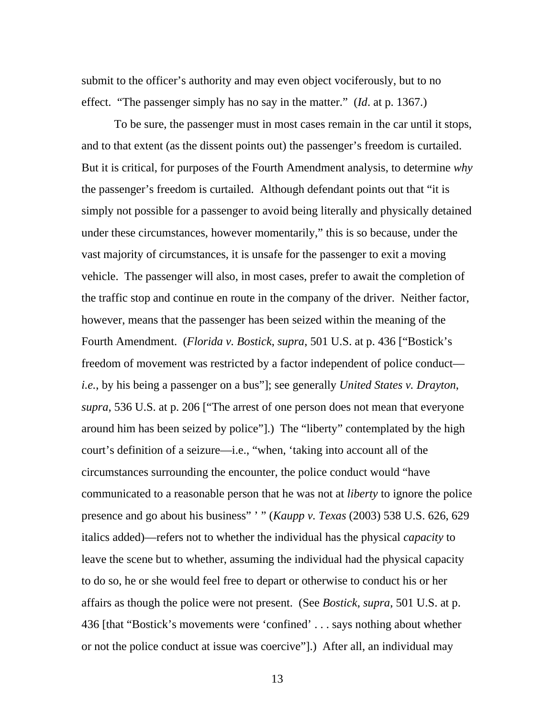submit to the officer's authority and may even object vociferously, but to no effect. "The passenger simply has no say in the matter." (*Id*. at p. 1367.)

To be sure, the passenger must in most cases remain in the car until it stops, and to that extent (as the dissent points out) the passenger's freedom is curtailed. But it is critical, for purposes of the Fourth Amendment analysis, to determine *why* the passenger's freedom is curtailed. Although defendant points out that "it is simply not possible for a passenger to avoid being literally and physically detained under these circumstances, however momentarily," this is so because, under the vast majority of circumstances, it is unsafe for the passenger to exit a moving vehicle. The passenger will also, in most cases, prefer to await the completion of the traffic stop and continue en route in the company of the driver. Neither factor, however, means that the passenger has been seized within the meaning of the Fourth Amendment. (*Florida v. Bostick*, *supra*, 501 U.S. at p. 436 ["Bostick's freedom of movement was restricted by a factor independent of police conduct *i.e.*, by his being a passenger on a bus"]; see generally *United States v. Drayton*, *supra*, 536 U.S. at p. 206 ["The arrest of one person does not mean that everyone around him has been seized by police"].) The "liberty" contemplated by the high court's definition of a seizure—i.e., "when, 'taking into account all of the circumstances surrounding the encounter, the police conduct would "have communicated to a reasonable person that he was not at *liberty* to ignore the police presence and go about his business" ' " (*Kaupp v. Texas* (2003) 538 U.S. 626, 629 italics added)—refers not to whether the individual has the physical *capacity* to leave the scene but to whether, assuming the individual had the physical capacity to do so, he or she would feel free to depart or otherwise to conduct his or her affairs as though the police were not present. (See *Bostick*, *supra*, 501 U.S. at p. 436 [that "Bostick's movements were 'confined' . . . says nothing about whether or not the police conduct at issue was coercive"].) After all, an individual may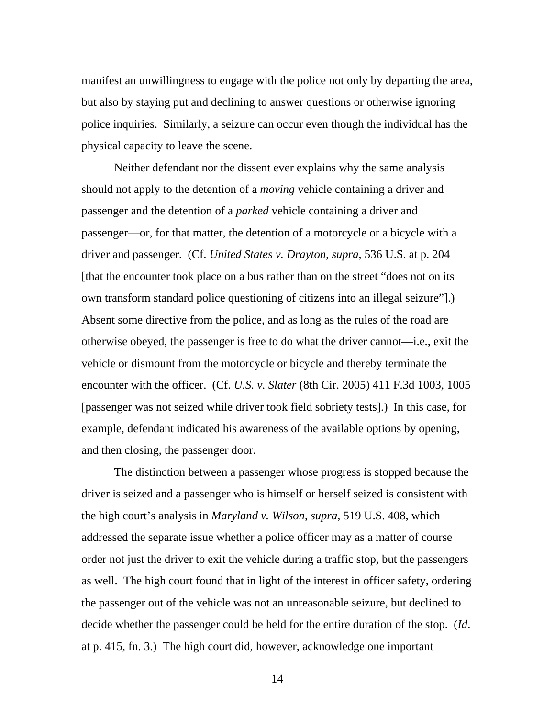manifest an unwillingness to engage with the police not only by departing the area, but also by staying put and declining to answer questions or otherwise ignoring police inquiries. Similarly, a seizure can occur even though the individual has the physical capacity to leave the scene.

Neither defendant nor the dissent ever explains why the same analysis should not apply to the detention of a *moving* vehicle containing a driver and passenger and the detention of a *parked* vehicle containing a driver and passenger—or, for that matter, the detention of a motorcycle or a bicycle with a driver and passenger. (Cf. *United States v. Drayton*, *supra*, 536 U.S. at p. 204 [that the encounter took place on a bus rather than on the street "does not on its own transform standard police questioning of citizens into an illegal seizure"].) Absent some directive from the police, and as long as the rules of the road are otherwise obeyed, the passenger is free to do what the driver cannot—i.e., exit the vehicle or dismount from the motorcycle or bicycle and thereby terminate the encounter with the officer. (Cf. *U.S. v. Slater* (8th Cir. 2005) 411 F.3d 1003, 1005 [passenger was not seized while driver took field sobriety tests].) In this case, for example, defendant indicated his awareness of the available options by opening, and then closing, the passenger door.

The distinction between a passenger whose progress is stopped because the driver is seized and a passenger who is himself or herself seized is consistent with the high court's analysis in *Maryland v. Wilson*, *supra*, 519 U.S. 408, which addressed the separate issue whether a police officer may as a matter of course order not just the driver to exit the vehicle during a traffic stop, but the passengers as well. The high court found that in light of the interest in officer safety, ordering the passenger out of the vehicle was not an unreasonable seizure, but declined to decide whether the passenger could be held for the entire duration of the stop. (*Id*. at p. 415, fn. 3.) The high court did, however, acknowledge one important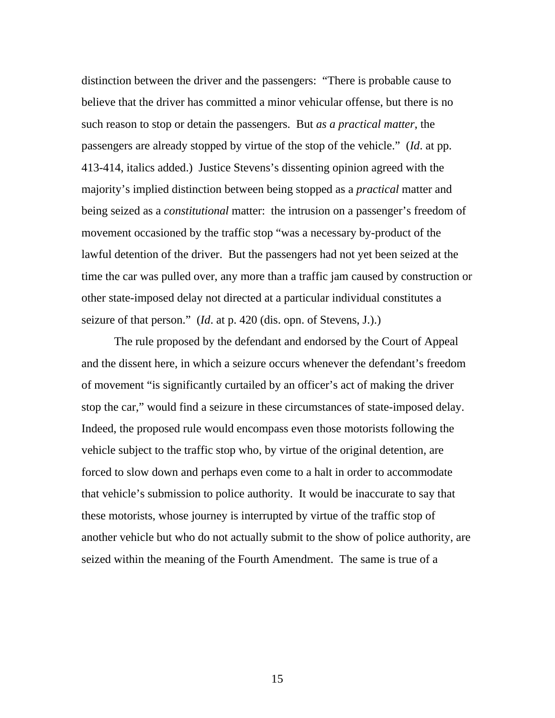distinction between the driver and the passengers: "There is probable cause to believe that the driver has committed a minor vehicular offense, but there is no such reason to stop or detain the passengers. But *as a practical matter*, the passengers are already stopped by virtue of the stop of the vehicle." (*Id*. at pp. 413-414, italics added.) Justice Stevens's dissenting opinion agreed with the majority's implied distinction between being stopped as a *practical* matter and being seized as a *constitutional* matter: the intrusion on a passenger's freedom of movement occasioned by the traffic stop "was a necessary by-product of the lawful detention of the driver. But the passengers had not yet been seized at the time the car was pulled over, any more than a traffic jam caused by construction or other state-imposed delay not directed at a particular individual constitutes a seizure of that person." (*Id*. at p. 420 (dis. opn. of Stevens, J.).)

The rule proposed by the defendant and endorsed by the Court of Appeal and the dissent here, in which a seizure occurs whenever the defendant's freedom of movement "is significantly curtailed by an officer's act of making the driver stop the car," would find a seizure in these circumstances of state-imposed delay. Indeed, the proposed rule would encompass even those motorists following the vehicle subject to the traffic stop who, by virtue of the original detention, are forced to slow down and perhaps even come to a halt in order to accommodate that vehicle's submission to police authority. It would be inaccurate to say that these motorists, whose journey is interrupted by virtue of the traffic stop of another vehicle but who do not actually submit to the show of police authority, are seized within the meaning of the Fourth Amendment. The same is true of a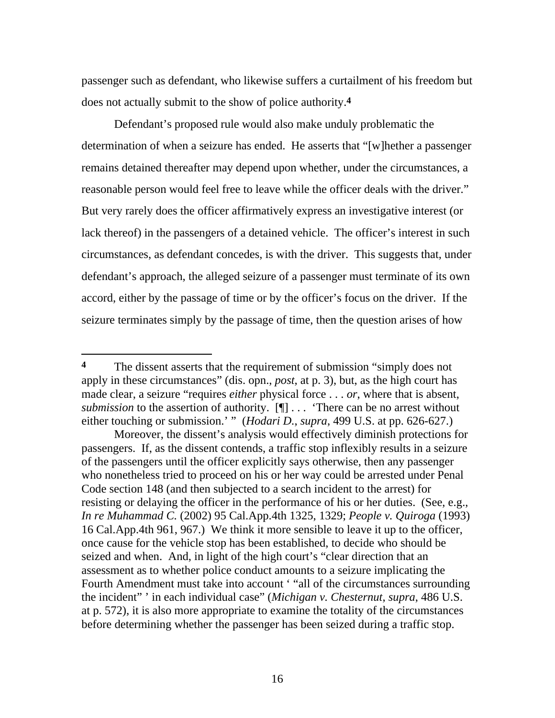passenger such as defendant, who likewise suffers a curtailment of his freedom but does not actually submit to the show of police authority.**4**

Defendant's proposed rule would also make unduly problematic the determination of when a seizure has ended. He asserts that "[w]hether a passenger remains detained thereafter may depend upon whether, under the circumstances, a reasonable person would feel free to leave while the officer deals with the driver." But very rarely does the officer affirmatively express an investigative interest (or lack thereof) in the passengers of a detained vehicle. The officer's interest in such circumstances, as defendant concedes, is with the driver. This suggests that, under defendant's approach, the alleged seizure of a passenger must terminate of its own accord, either by the passage of time or by the officer's focus on the driver. If the seizure terminates simply by the passage of time, then the question arises of how

 $\overline{a}$ 

**<sup>4</sup>** The dissent asserts that the requirement of submission "simply does not apply in these circumstances" (dis. opn., *post*, at p. 3), but, as the high court has made clear, a seizure "requires *either* physical force . . . *or*, where that is absent, *submission* to the assertion of authority. [¶] . . . 'There can be no arrest without either touching or submission.' " (*Hodari D.*, *supra*, 499 U.S. at pp. 626-627.)

Moreover, the dissent's analysis would effectively diminish protections for passengers. If, as the dissent contends, a traffic stop inflexibly results in a seizure of the passengers until the officer explicitly says otherwise, then any passenger who nonetheless tried to proceed on his or her way could be arrested under Penal Code section 148 (and then subjected to a search incident to the arrest) for resisting or delaying the officer in the performance of his or her duties. (See, e.g., *In re Muhammad C.* (2002) 95 Cal.App.4th 1325, 1329; *People v. Quiroga* (1993) 16 Cal.App.4th 961, 967.) We think it more sensible to leave it up to the officer, once cause for the vehicle stop has been established, to decide who should be seized and when. And, in light of the high court's "clear direction that an assessment as to whether police conduct amounts to a seizure implicating the Fourth Amendment must take into account ' "all of the circumstances surrounding the incident" ' in each individual case" (*Michigan v. Chesternut*, *supra*, 486 U.S. at p. 572), it is also more appropriate to examine the totality of the circumstances before determining whether the passenger has been seized during a traffic stop.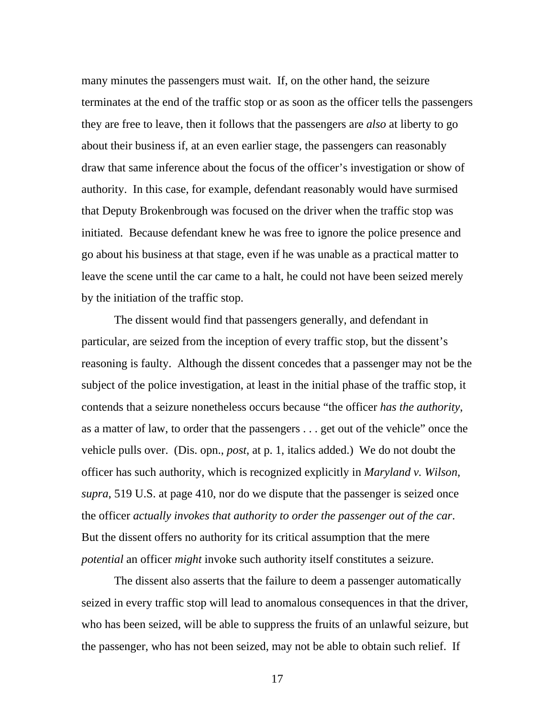many minutes the passengers must wait. If, on the other hand, the seizure terminates at the end of the traffic stop or as soon as the officer tells the passengers they are free to leave, then it follows that the passengers are *also* at liberty to go about their business if, at an even earlier stage, the passengers can reasonably draw that same inference about the focus of the officer's investigation or show of authority. In this case, for example, defendant reasonably would have surmised that Deputy Brokenbrough was focused on the driver when the traffic stop was initiated. Because defendant knew he was free to ignore the police presence and go about his business at that stage, even if he was unable as a practical matter to leave the scene until the car came to a halt, he could not have been seized merely by the initiation of the traffic stop.

The dissent would find that passengers generally, and defendant in particular, are seized from the inception of every traffic stop, but the dissent's reasoning is faulty. Although the dissent concedes that a passenger may not be the subject of the police investigation, at least in the initial phase of the traffic stop, it contends that a seizure nonetheless occurs because "the officer *has the authority*, as a matter of law, to order that the passengers . . . get out of the vehicle" once the vehicle pulls over. (Dis. opn., *post*, at p. 1, italics added.) We do not doubt the officer has such authority, which is recognized explicitly in *Maryland v. Wilson*, *supra*, 519 U.S. at page 410, nor do we dispute that the passenger is seized once the officer *actually invokes that authority to order the passenger out of the car*. But the dissent offers no authority for its critical assumption that the mere *potential* an officer *might* invoke such authority itself constitutes a seizure.

The dissent also asserts that the failure to deem a passenger automatically seized in every traffic stop will lead to anomalous consequences in that the driver, who has been seized, will be able to suppress the fruits of an unlawful seizure, but the passenger, who has not been seized, may not be able to obtain such relief. If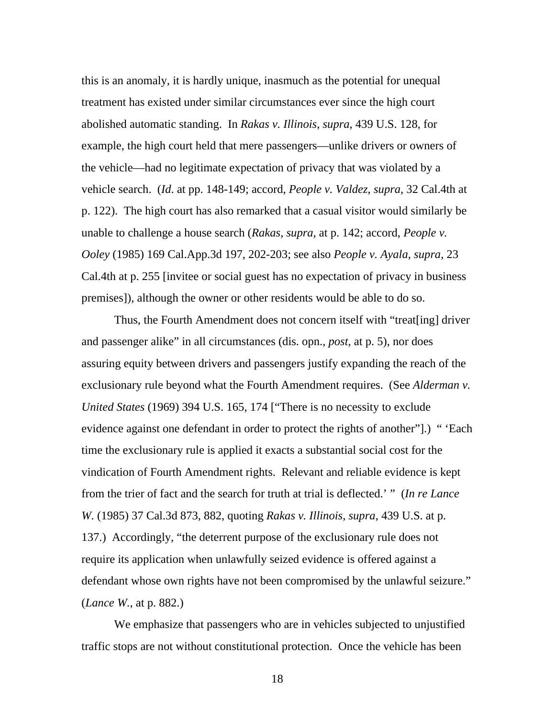this is an anomaly, it is hardly unique, inasmuch as the potential for unequal treatment has existed under similar circumstances ever since the high court abolished automatic standing. In *Rakas v. Illinois*, *supra*, 439 U.S. 128, for example, the high court held that mere passengers—unlike drivers or owners of the vehicle—had no legitimate expectation of privacy that was violated by a vehicle search. (*Id*. at pp. 148-149; accord, *People v. Valdez*, *supra*, 32 Cal.4th at p. 122). The high court has also remarked that a casual visitor would similarly be unable to challenge a house search (*Rakas*, *supra*, at p. 142; accord, *People v. Ooley* (1985) 169 Cal.App.3d 197, 202-203; see also *People v. Ayala*, *supra*, 23 Cal.4th at p. 255 [invitee or social guest has no expectation of privacy in business premises]), although the owner or other residents would be able to do so.

Thus, the Fourth Amendment does not concern itself with "treat[ing] driver and passenger alike" in all circumstances (dis. opn., *post*, at p. 5), nor does assuring equity between drivers and passengers justify expanding the reach of the exclusionary rule beyond what the Fourth Amendment requires. (See *Alderman v. United States* (1969) 394 U.S. 165, 174 ["There is no necessity to exclude evidence against one defendant in order to protect the rights of another"].) " 'Each time the exclusionary rule is applied it exacts a substantial social cost for the vindication of Fourth Amendment rights. Relevant and reliable evidence is kept from the trier of fact and the search for truth at trial is deflected.' " (*In re Lance W.* (1985) 37 Cal.3d 873, 882, quoting *Rakas v. Illinois*, *supra*, 439 U.S. at p. 137.) Accordingly, "the deterrent purpose of the exclusionary rule does not require its application when unlawfully seized evidence is offered against a defendant whose own rights have not been compromised by the unlawful seizure." (*Lance W.*, at p. 882.)

We emphasize that passengers who are in vehicles subjected to unjustified traffic stops are not without constitutional protection. Once the vehicle has been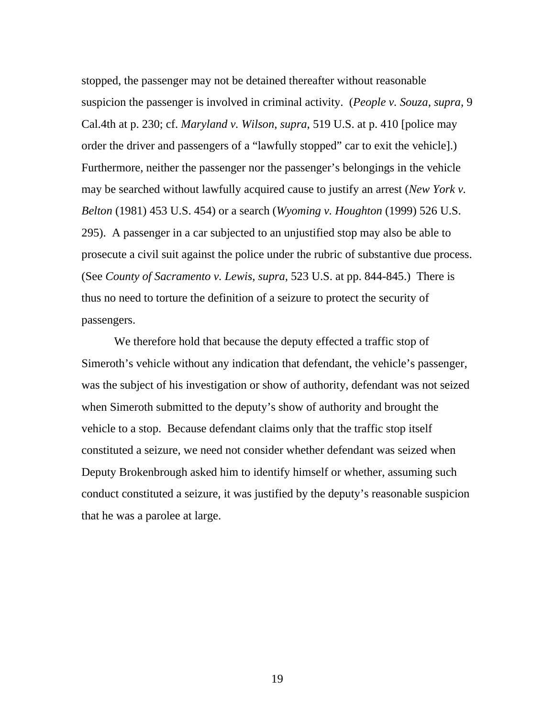stopped, the passenger may not be detained thereafter without reasonable suspicion the passenger is involved in criminal activity. (*People v. Souza*, *supra*, 9 Cal.4th at p. 230; cf. *Maryland v. Wilson*, *supra*, 519 U.S. at p. 410 [police may order the driver and passengers of a "lawfully stopped" car to exit the vehicle].) Furthermore, neither the passenger nor the passenger's belongings in the vehicle may be searched without lawfully acquired cause to justify an arrest (*New York v. Belton* (1981) 453 U.S. 454) or a search (*Wyoming v. Houghton* (1999) 526 U.S. 295). A passenger in a car subjected to an unjustified stop may also be able to prosecute a civil suit against the police under the rubric of substantive due process. (See *County of Sacramento v. Lewis*, *supra*, 523 U.S. at pp. 844-845.) There is thus no need to torture the definition of a seizure to protect the security of passengers.

We therefore hold that because the deputy effected a traffic stop of Simeroth's vehicle without any indication that defendant, the vehicle's passenger, was the subject of his investigation or show of authority, defendant was not seized when Simeroth submitted to the deputy's show of authority and brought the vehicle to a stop. Because defendant claims only that the traffic stop itself constituted a seizure, we need not consider whether defendant was seized when Deputy Brokenbrough asked him to identify himself or whether, assuming such conduct constituted a seizure, it was justified by the deputy's reasonable suspicion that he was a parolee at large.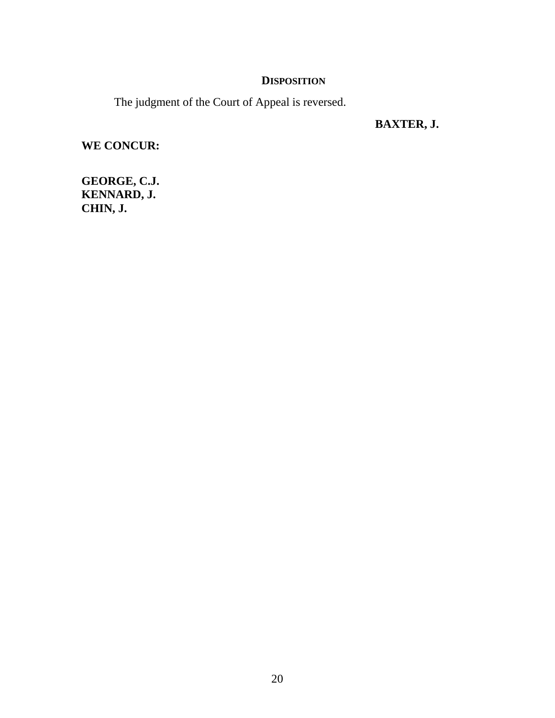# **DISPOSITION**

The judgment of the Court of Appeal is reversed.

 **BAXTER, J.** 

**WE CONCUR:** 

**GEORGE, C.J. KENNARD, J. CHIN, J.**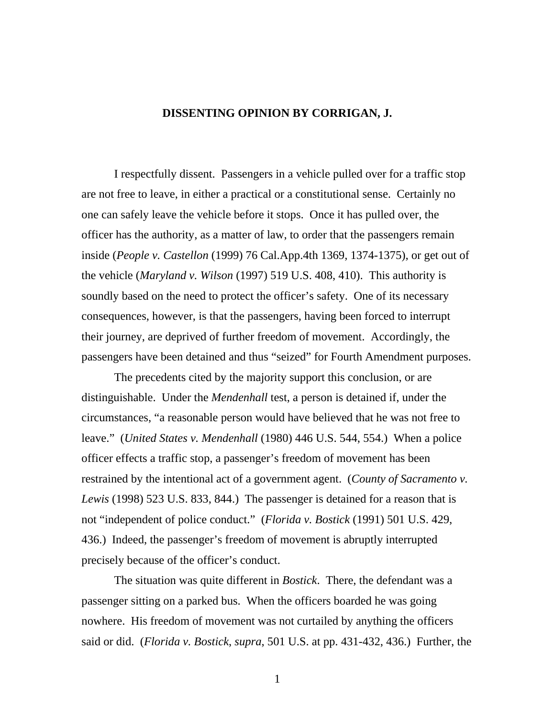### **DISSENTING OPINION BY CORRIGAN, J.**

 I respectfully dissent. Passengers in a vehicle pulled over for a traffic stop are not free to leave, in either a practical or a constitutional sense. Certainly no one can safely leave the vehicle before it stops. Once it has pulled over, the officer has the authority, as a matter of law, to order that the passengers remain inside (*People v. Castellon* (1999) 76 Cal.App.4th 1369, 1374-1375), or get out of the vehicle (*Maryland v. Wilson* (1997) 519 U.S. 408, 410). This authority is soundly based on the need to protect the officer's safety. One of its necessary consequences, however, is that the passengers, having been forced to interrupt their journey, are deprived of further freedom of movement. Accordingly, the passengers have been detained and thus "seized" for Fourth Amendment purposes.

 The precedents cited by the majority support this conclusion, or are distinguishable. Under the *Mendenhall* test, a person is detained if, under the circumstances, "a reasonable person would have believed that he was not free to leave." (*United States v. Mendenhall* (1980) 446 U.S. 544, 554.) When a police officer effects a traffic stop, a passenger's freedom of movement has been restrained by the intentional act of a government agent. (*County of Sacramento v. Lewis* (1998) 523 U.S. 833, 844.) The passenger is detained for a reason that is not "independent of police conduct." (*Florida v. Bostick* (1991) 501 U.S. 429, 436.) Indeed, the passenger's freedom of movement is abruptly interrupted precisely because of the officer's conduct.

 The situation was quite different in *Bostick*. There, the defendant was a passenger sitting on a parked bus. When the officers boarded he was going nowhere. His freedom of movement was not curtailed by anything the officers said or did. (*Florida v. Bostick*, *supra*, 501 U.S. at pp. 431-432, 436.) Further, the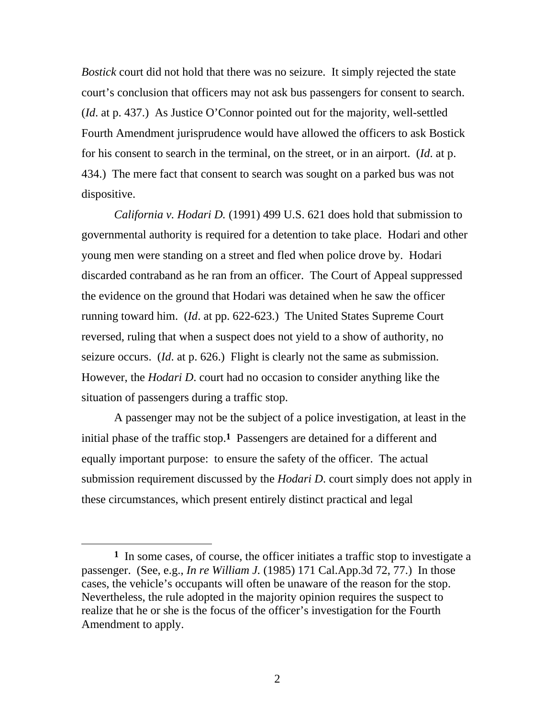*Bostick* court did not hold that there was no seizure. It simply rejected the state court's conclusion that officers may not ask bus passengers for consent to search. (*Id*. at p. 437.) As Justice O'Connor pointed out for the majority, well-settled Fourth Amendment jurisprudence would have allowed the officers to ask Bostick for his consent to search in the terminal, on the street, or in an airport. (*Id*. at p. 434.) The mere fact that consent to search was sought on a parked bus was not dispositive.

*California v. Hodari D.* (1991) 499 U.S. 621 does hold that submission to governmental authority is required for a detention to take place. Hodari and other young men were standing on a street and fled when police drove by. Hodari discarded contraband as he ran from an officer. The Court of Appeal suppressed the evidence on the ground that Hodari was detained when he saw the officer running toward him. (*Id*. at pp. 622-623.) The United States Supreme Court reversed, ruling that when a suspect does not yield to a show of authority, no seizure occurs. (*Id*. at p. 626.) Flight is clearly not the same as submission. However, the *Hodari D*. court had no occasion to consider anything like the situation of passengers during a traffic stop.

 A passenger may not be the subject of a police investigation, at least in the initial phase of the traffic stop.**1** Passengers are detained for a different and equally important purpose: to ensure the safety of the officer. The actual submission requirement discussed by the *Hodari D*. court simply does not apply in these circumstances, which present entirely distinct practical and legal

 $\overline{a}$ 

**<sup>1</sup>** In some cases, of course, the officer initiates a traffic stop to investigate a passenger. (See, e.g., *In re William J.* (1985) 171 Cal.App.3d 72, 77.) In those cases, the vehicle's occupants will often be unaware of the reason for the stop. Nevertheless, the rule adopted in the majority opinion requires the suspect to realize that he or she is the focus of the officer's investigation for the Fourth Amendment to apply.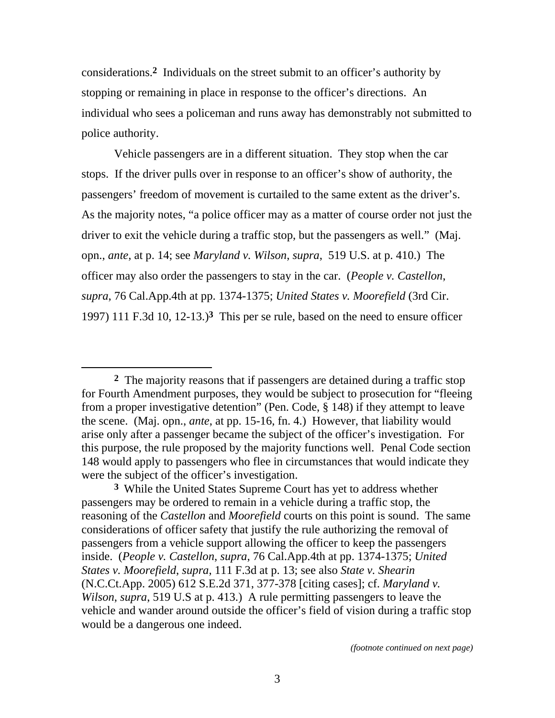considerations.**2** Individuals on the street submit to an officer's authority by stopping or remaining in place in response to the officer's directions. An individual who sees a policeman and runs away has demonstrably not submitted to police authority.

 Vehicle passengers are in a different situation. They stop when the car stops. If the driver pulls over in response to an officer's show of authority, the passengers' freedom of movement is curtailed to the same extent as the driver's. As the majority notes, "a police officer may as a matter of course order not just the driver to exit the vehicle during a traffic stop, but the passengers as well." (Maj. opn., *ante*, at p. 14; see *Maryland v. Wilson*, *supra*, 519 U.S. at p. 410.) The officer may also order the passengers to stay in the car. (*People v. Castellon*, *supra*, 76 Cal.App.4th at pp. 1374-1375; *United States v. Moorefield* (3rd Cir. 1997) 111 F.3d 10, 12-13.)**3** This per se rule, based on the need to ensure officer

**<sup>2</sup>** The majority reasons that if passengers are detained during a traffic stop for Fourth Amendment purposes, they would be subject to prosecution for "fleeing from a proper investigative detention" (Pen. Code, § 148) if they attempt to leave the scene. (Maj. opn., *ante*, at pp. 15-16, fn. 4.) However, that liability would arise only after a passenger became the subject of the officer's investigation. For this purpose, the rule proposed by the majority functions well. Penal Code section 148 would apply to passengers who flee in circumstances that would indicate they were the subject of the officer's investigation.

**<sup>3</sup>** While the United States Supreme Court has yet to address whether passengers may be ordered to remain in a vehicle during a traffic stop, the reasoning of the *Castellon* and *Moorefield* courts on this point is sound. The same considerations of officer safety that justify the rule authorizing the removal of passengers from a vehicle support allowing the officer to keep the passengers inside. (*People v. Castellon*, *supra*, 76 Cal.App.4th at pp. 1374-1375; *United States v. Moorefield*, *supra*, 111 F.3d at p. 13; see also *State v. Shearin* (N.C.Ct.App. 2005) 612 S.E.2d 371, 377-378 [citing cases]; cf. *Maryland v. Wilson*, *supra*, 519 U.S at p. 413.) A rule permitting passengers to leave the vehicle and wander around outside the officer's field of vision during a traffic stop would be a dangerous one indeed.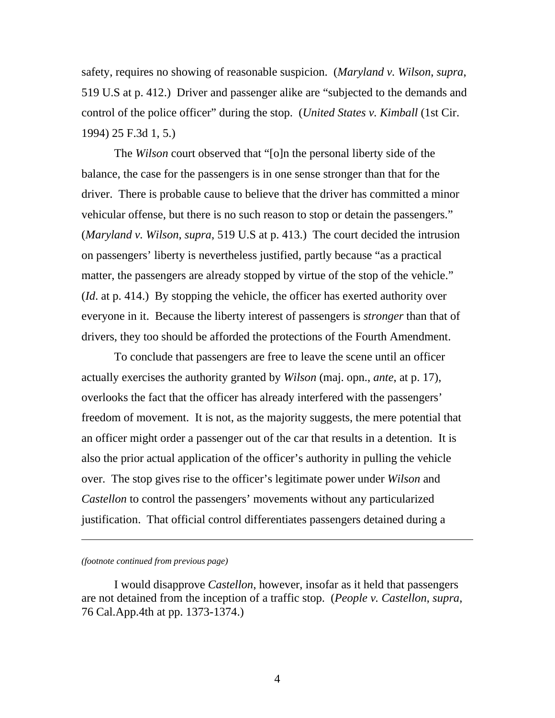safety, requires no showing of reasonable suspicion. (*Maryland v. Wilson*, *supra*, 519 U.S at p. 412.) Driver and passenger alike are "subjected to the demands and control of the police officer" during the stop. (*United States v. Kimball* (1st Cir. 1994) 25 F.3d 1, 5.)

 The *Wilson* court observed that "[o]n the personal liberty side of the balance, the case for the passengers is in one sense stronger than that for the driver. There is probable cause to believe that the driver has committed a minor vehicular offense, but there is no such reason to stop or detain the passengers." (*Maryland v. Wilson*, *supra*, 519 U.S at p. 413.) The court decided the intrusion on passengers' liberty is nevertheless justified, partly because "as a practical matter, the passengers are already stopped by virtue of the stop of the vehicle." (*Id*. at p. 414.) By stopping the vehicle, the officer has exerted authority over everyone in it. Because the liberty interest of passengers is *stronger* than that of drivers, they too should be afforded the protections of the Fourth Amendment.

 To conclude that passengers are free to leave the scene until an officer actually exercises the authority granted by *Wilson* (maj. opn., *ante*, at p. 17), overlooks the fact that the officer has already interfered with the passengers' freedom of movement. It is not, as the majority suggests, the mere potential that an officer might order a passenger out of the car that results in a detention. It is also the prior actual application of the officer's authority in pulling the vehicle over. The stop gives rise to the officer's legitimate power under *Wilson* and *Castellon* to control the passengers' movements without any particularized justification. That official control differentiates passengers detained during a

*(footnote continued from previous page)* 

l

 I would disapprove *Castellon*, however, insofar as it held that passengers are not detained from the inception of a traffic stop. (*People v. Castellon*, *supra*, 76 Cal.App.4th at pp. 1373-1374.)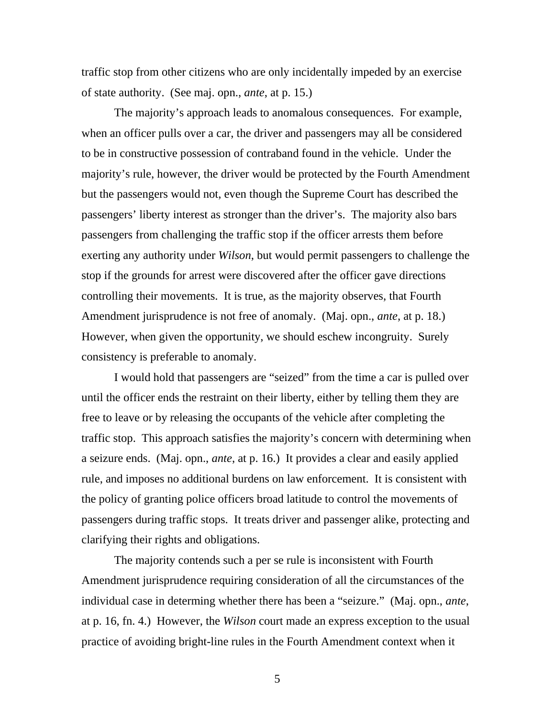traffic stop from other citizens who are only incidentally impeded by an exercise of state authority. (See maj. opn., *ante*, at p. 15.)

 The majority's approach leads to anomalous consequences. For example, when an officer pulls over a car, the driver and passengers may all be considered to be in constructive possession of contraband found in the vehicle. Under the majority's rule, however, the driver would be protected by the Fourth Amendment but the passengers would not, even though the Supreme Court has described the passengers' liberty interest as stronger than the driver's. The majority also bars passengers from challenging the traffic stop if the officer arrests them before exerting any authority under *Wilson*, but would permit passengers to challenge the stop if the grounds for arrest were discovered after the officer gave directions controlling their movements. It is true, as the majority observes, that Fourth Amendment jurisprudence is not free of anomaly. (Maj. opn., *ante*, at p. 18.) However, when given the opportunity, we should eschew incongruity. Surely consistency is preferable to anomaly.

 I would hold that passengers are "seized" from the time a car is pulled over until the officer ends the restraint on their liberty, either by telling them they are free to leave or by releasing the occupants of the vehicle after completing the traffic stop. This approach satisfies the majority's concern with determining when a seizure ends. (Maj. opn., *ante*, at p. 16.) It provides a clear and easily applied rule, and imposes no additional burdens on law enforcement. It is consistent with the policy of granting police officers broad latitude to control the movements of passengers during traffic stops. It treats driver and passenger alike, protecting and clarifying their rights and obligations.

 The majority contends such a per se rule is inconsistent with Fourth Amendment jurisprudence requiring consideration of all the circumstances of the individual case in determing whether there has been a "seizure." (Maj. opn., *ante*, at p. 16, fn. 4.) However, the *Wilson* court made an express exception to the usual practice of avoiding bright-line rules in the Fourth Amendment context when it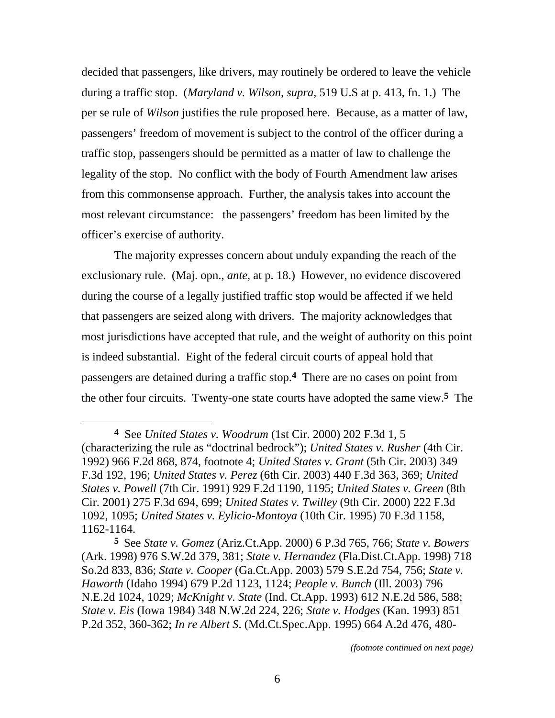decided that passengers, like drivers, may routinely be ordered to leave the vehicle during a traffic stop. (*Maryland v. Wilson*, *supra*, 519 U.S at p. 413, fn. 1.) The per se rule of *Wilson* justifies the rule proposed here. Because, as a matter of law, passengers' freedom of movement is subject to the control of the officer during a traffic stop, passengers should be permitted as a matter of law to challenge the legality of the stop. No conflict with the body of Fourth Amendment law arises from this commonsense approach. Further, the analysis takes into account the most relevant circumstance: the passengers' freedom has been limited by the officer's exercise of authority.

 The majority expresses concern about unduly expanding the reach of the exclusionary rule. (Maj. opn., *ante*, at p. 18.) However, no evidence discovered during the course of a legally justified traffic stop would be affected if we held that passengers are seized along with drivers. The majority acknowledges that most jurisdictions have accepted that rule, and the weight of authority on this point is indeed substantial. Eight of the federal circuit courts of appeal hold that passengers are detained during a traffic stop.**4** There are no cases on point from the other four circuits. Twenty-one state courts have adopted the same view.**5** The

 $\overline{a}$ 

**<sup>4</sup>** See *United States v. Woodrum* (1st Cir. 2000) 202 F.3d 1, 5 (characterizing the rule as "doctrinal bedrock"); *United States v. Rusher* (4th Cir. 1992) 966 F.2d 868, 874, footnote 4; *United States v. Grant* (5th Cir. 2003) 349 F.3d 192, 196; *United States v. Perez* (6th Cir. 2003) 440 F.3d 363, 369; *United States v. Powell* (7th Cir. 1991) 929 F.2d 1190, 1195; *United States v. Green* (8th Cir. 2001) 275 F.3d 694, 699; *United States v. Twilley* (9th Cir. 2000) 222 F.3d 1092, 1095; *United States v. Eylicio-Montoya* (10th Cir. 1995) 70 F.3d 1158, 1162-1164.

**<sup>5</sup>** See *State v. Gomez* (Ariz.Ct.App. 2000) 6 P.3d 765, 766; *State v. Bowers* (Ark. 1998) 976 S.W.2d 379, 381; *State v. Hernandez* (Fla.Dist.Ct.App. 1998) 718 So.2d 833, 836; *State v. Cooper* (Ga.Ct.App. 2003) 579 S.E.2d 754, 756; *State v. Haworth* (Idaho 1994) 679 P.2d 1123, 1124; *People v. Bunch* (Ill. 2003) 796 N.E.2d 1024, 1029; *McKnight v. State* (Ind. Ct.App. 1993) 612 N.E.2d 586, 588; *State v. Eis* (Iowa 1984) 348 N.W.2d 224, 226; *State v. Hodges* (Kan. 1993) 851 P.2d 352, 360-362; *In re Albert S*. (Md.Ct.Spec.App. 1995) 664 A.2d 476, 480-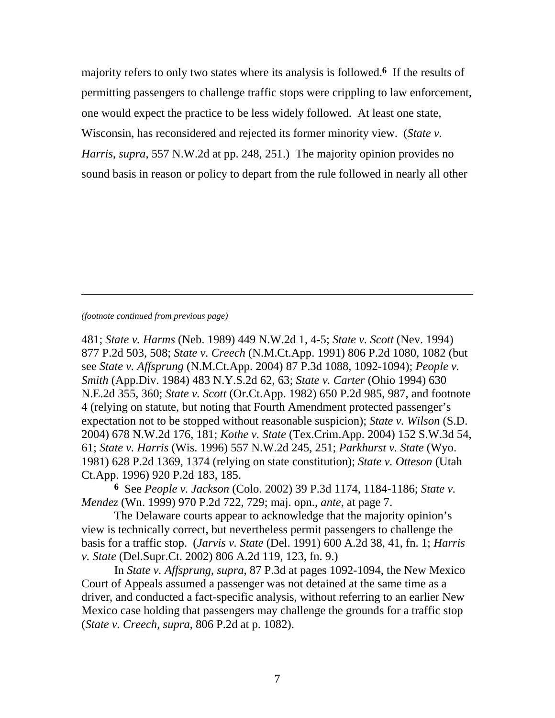majority refers to only two states where its analysis is followed.**6** If the results of permitting passengers to challenge traffic stops were crippling to law enforcement, one would expect the practice to be less widely followed. At least one state, Wisconsin, has reconsidered and rejected its former minority view. (*State v. Harris*, *supra*, 557 N.W.2d at pp. 248, 251.) The majority opinion provides no sound basis in reason or policy to depart from the rule followed in nearly all other

### *(footnote continued from previous page)*

l

481; *State v. Harms* (Neb. 1989) 449 N.W.2d 1, 4-5; *State v. Scott* (Nev. 1994) 877 P.2d 503, 508; *State v. Creech* (N.M.Ct.App. 1991) 806 P.2d 1080, 1082 (but see *State v. Affsprung* (N.M.Ct.App. 2004) 87 P.3d 1088, 1092-1094); *People v. Smith* (App.Div. 1984) 483 N.Y.S.2d 62, 63; *State v. Carter* (Ohio 1994) 630 N.E.2d 355, 360; *State v. Scott* (Or.Ct.App. 1982) 650 P.2d 985, 987, and footnote 4 (relying on statute, but noting that Fourth Amendment protected passenger's expectation not to be stopped without reasonable suspicion); *State v. Wilson* (S.D. 2004) 678 N.W.2d 176, 181; *Kothe v. State* (Tex.Crim.App. 2004) 152 S.W.3d 54, 61; *State v. Harris* (Wis. 1996) 557 N.W.2d 245, 251; *Parkhurst v. State* (Wyo. 1981) 628 P.2d 1369, 1374 (relying on state constitution); *State v. Otteson* (Utah Ct.App. 1996) 920 P.2d 183, 185.

**6** See *People v. Jackson* (Colo. 2002) 39 P.3d 1174, 1184-1186; *State v. Mendez* (Wn. 1999) 970 P.2d 722, 729; maj. opn., *ante*, at page 7.

 The Delaware courts appear to acknowledge that the majority opinion's view is technically correct, but nevertheless permit passengers to challenge the basis for a traffic stop. (*Jarvis v. State* (Del. 1991) 600 A.2d 38, 41, fn. 1; *Harris v. State* (Del.Supr.Ct. 2002) 806 A.2d 119, 123, fn. 9.)

 In *State v. Affsprung*, *supra*, 87 P.3d at pages 1092-1094, the New Mexico Court of Appeals assumed a passenger was not detained at the same time as a driver, and conducted a fact-specific analysis, without referring to an earlier New Mexico case holding that passengers may challenge the grounds for a traffic stop (*State v. Creech*, *supra*, 806 P.2d at p. 1082).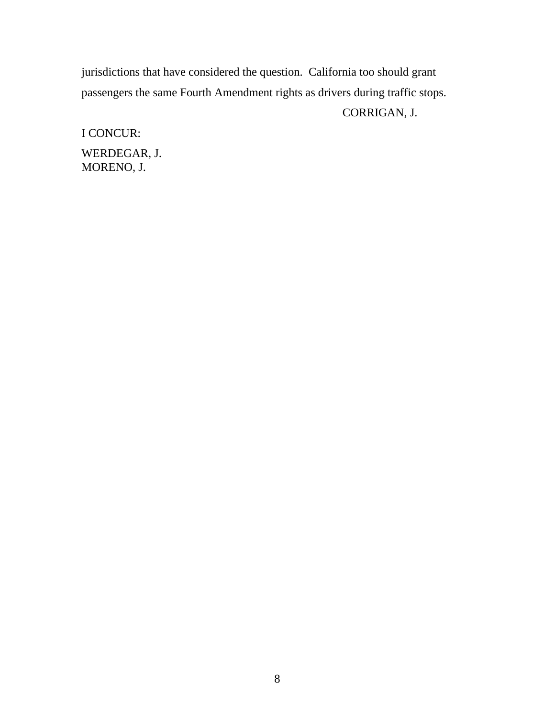jurisdictions that have considered the question. California too should grant passengers the same Fourth Amendment rights as drivers during traffic stops.

# CORRIGAN, J.

I CONCUR: WERDEGAR, J. MORENO, J.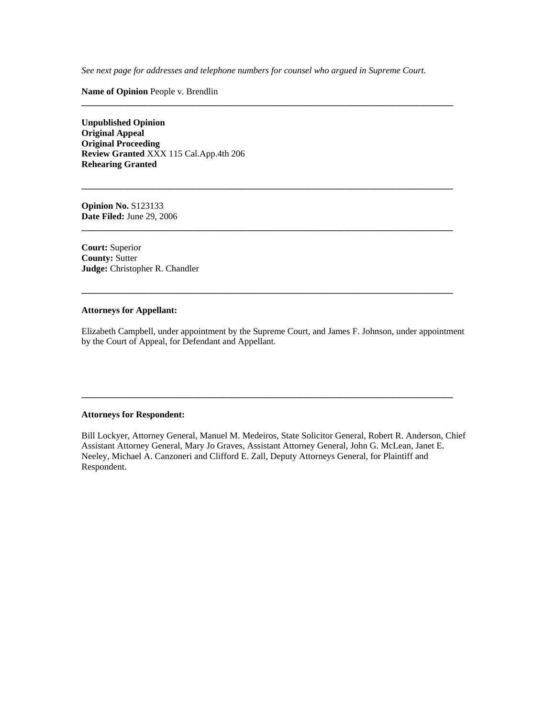*See next page for addresses and telephone numbers for counsel who argued in Supreme Court.* 

**\_\_\_\_\_\_\_\_\_\_\_\_\_\_\_\_\_\_\_\_\_\_\_\_\_\_\_\_\_\_\_\_\_\_\_\_\_\_\_\_\_\_\_\_\_\_\_\_\_\_\_\_\_\_\_\_\_\_\_\_\_\_\_\_\_\_\_\_\_\_\_\_\_\_\_\_\_\_\_\_\_\_** 

**\_\_\_\_\_\_\_\_\_\_\_\_\_\_\_\_\_\_\_\_\_\_\_\_\_\_\_\_\_\_\_\_\_\_\_\_\_\_\_\_\_\_\_\_\_\_\_\_\_\_\_\_\_\_\_\_\_\_\_\_\_\_\_\_\_\_\_\_\_\_\_\_\_\_\_\_\_\_\_\_\_\_** 

**\_\_\_\_\_\_\_\_\_\_\_\_\_\_\_\_\_\_\_\_\_\_\_\_\_\_\_\_\_\_\_\_\_\_\_\_\_\_\_\_\_\_\_\_\_\_\_\_\_\_\_\_\_\_\_\_\_\_\_\_\_\_\_\_\_\_\_\_\_\_\_\_\_\_\_\_\_\_\_\_\_\_** 

**\_\_\_\_\_\_\_\_\_\_\_\_\_\_\_\_\_\_\_\_\_\_\_\_\_\_\_\_\_\_\_\_\_\_\_\_\_\_\_\_\_\_\_\_\_\_\_\_\_\_\_\_\_\_\_\_\_\_\_\_\_\_\_\_\_\_\_\_\_\_\_\_\_\_\_\_\_\_\_\_\_\_** 

**Name of Opinion** People v. Brendlin

**Unpublished Opinion Original Appeal Original Proceeding Review Granted** XXX 115 Cal.App.4th 206 **Rehearing Granted** 

**Opinion No.** S123133 **Date Filed:** June 29, 2006

**Court:** Superior **County:** Sutter **Judge:** Christopher R. Chandler

### **Attorneys for Appellant:**

Elizabeth Campbell, under appointment by the Supreme Court, and James F. Johnson, under appointment by the Court of Appeal, for Defendant and Appellant.

**\_\_\_\_\_\_\_\_\_\_\_\_\_\_\_\_\_\_\_\_\_\_\_\_\_\_\_\_\_\_\_\_\_\_\_\_\_\_\_\_\_\_\_\_\_\_\_\_\_\_\_\_\_\_\_\_\_\_\_\_\_\_\_\_\_\_\_\_\_\_\_\_\_\_\_\_\_\_\_\_\_\_** 

### **Attorneys for Respondent:**

Bill Lockyer, Attorney General, Manuel M. Medeiros, State Solicitor General, Robert R. Anderson, Chief Assistant Attorney General, Mary Jo Graves, Assistant Attorney General, John G. McLean, Janet E. Neeley, Michael A. Canzoneri and Clifford E. Zall, Deputy Attorneys General, for Plaintiff and Respondent.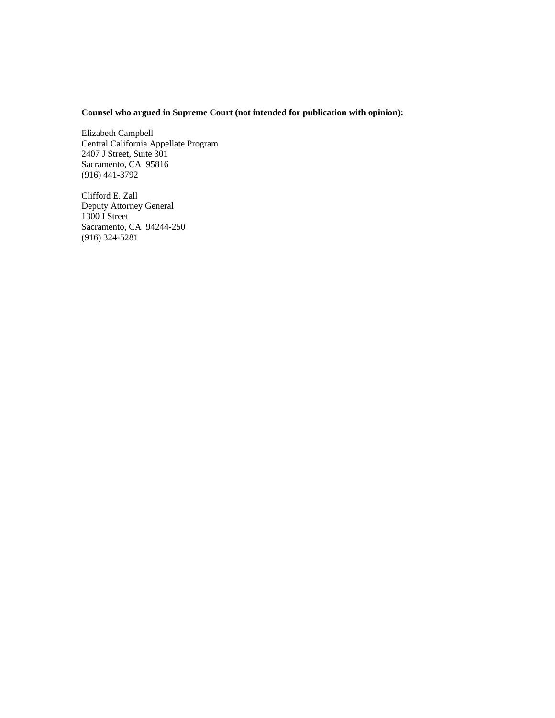### **Counsel who argued in Supreme Court (not intended for publication with opinion):**

Elizabeth Campbell Central California Appellate Program 2407 J Street, Suite 301 Sacramento, CA 95816 (916) 441-3792

Clifford E. Zall Deputy Attorney General 1300 I Street Sacramento, CA 94244-250 (916) 324-5281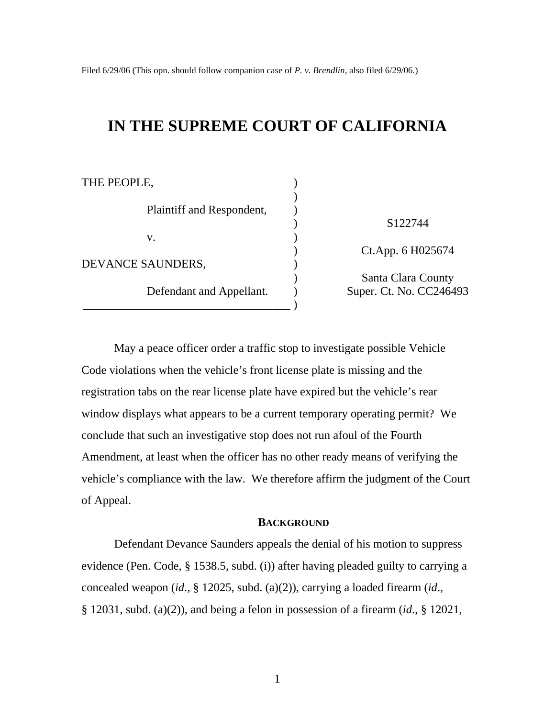Filed 6/29/06 (This opn. should follow companion case of *P. v. Brendlin*, also filed 6/29/06.)

# **IN THE SUPREME COURT OF CALIFORNIA**

| THE PEOPLE,               |                         |
|---------------------------|-------------------------|
|                           |                         |
| Plaintiff and Respondent, |                         |
|                           | S <sub>122744</sub>     |
| V.                        |                         |
|                           | Ct.App. 6 H025674       |
| DEVANCE SAUNDERS,         |                         |
| Defendant and Appellant.  | Santa Clara County      |
|                           | Super. Ct. No. CC246493 |
|                           |                         |

May a peace officer order a traffic stop to investigate possible Vehicle Code violations when the vehicle's front license plate is missing and the registration tabs on the rear license plate have expired but the vehicle's rear window displays what appears to be a current temporary operating permit? We conclude that such an investigative stop does not run afoul of the Fourth Amendment, at least when the officer has no other ready means of verifying the vehicle's compliance with the law. We therefore affirm the judgment of the Court of Appeal.

### **BACKGROUND**

Defendant Devance Saunders appeals the denial of his motion to suppress evidence (Pen. Code, § 1538.5, subd. (i)) after having pleaded guilty to carrying a concealed weapon (*id*., § 12025, subd. (a)(2)), carrying a loaded firearm (*id*., § 12031, subd. (a)(2)), and being a felon in possession of a firearm (*id*., § 12021,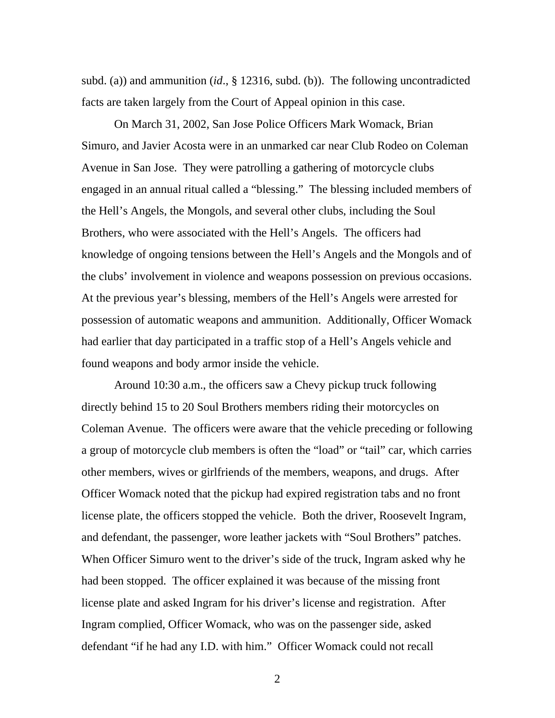subd. (a)) and ammunition (*id*., § 12316, subd. (b)). The following uncontradicted facts are taken largely from the Court of Appeal opinion in this case.

On March 31, 2002, San Jose Police Officers Mark Womack, Brian Simuro, and Javier Acosta were in an unmarked car near Club Rodeo on Coleman Avenue in San Jose. They were patrolling a gathering of motorcycle clubs engaged in an annual ritual called a "blessing." The blessing included members of the Hell's Angels, the Mongols, and several other clubs, including the Soul Brothers, who were associated with the Hell's Angels. The officers had knowledge of ongoing tensions between the Hell's Angels and the Mongols and of the clubs' involvement in violence and weapons possession on previous occasions. At the previous year's blessing, members of the Hell's Angels were arrested for possession of automatic weapons and ammunition. Additionally, Officer Womack had earlier that day participated in a traffic stop of a Hell's Angels vehicle and found weapons and body armor inside the vehicle.

Around 10:30 a.m., the officers saw a Chevy pickup truck following directly behind 15 to 20 Soul Brothers members riding their motorcycles on Coleman Avenue. The officers were aware that the vehicle preceding or following a group of motorcycle club members is often the "load" or "tail" car, which carries other members, wives or girlfriends of the members, weapons, and drugs. After Officer Womack noted that the pickup had expired registration tabs and no front license plate, the officers stopped the vehicle. Both the driver, Roosevelt Ingram, and defendant, the passenger, wore leather jackets with "Soul Brothers" patches. When Officer Simuro went to the driver's side of the truck, Ingram asked why he had been stopped. The officer explained it was because of the missing front license plate and asked Ingram for his driver's license and registration. After Ingram complied, Officer Womack, who was on the passenger side, asked defendant "if he had any I.D. with him." Officer Womack could not recall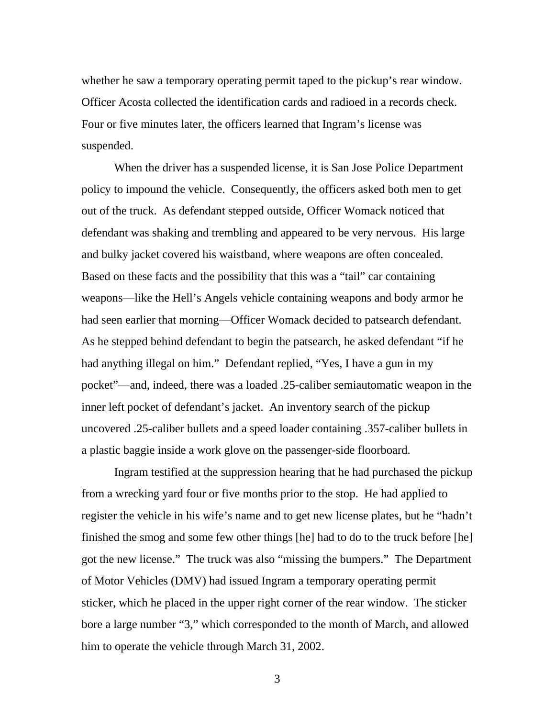whether he saw a temporary operating permit taped to the pickup's rear window. Officer Acosta collected the identification cards and radioed in a records check. Four or five minutes later, the officers learned that Ingram's license was suspended.

When the driver has a suspended license, it is San Jose Police Department policy to impound the vehicle. Consequently, the officers asked both men to get out of the truck. As defendant stepped outside, Officer Womack noticed that defendant was shaking and trembling and appeared to be very nervous. His large and bulky jacket covered his waistband, where weapons are often concealed. Based on these facts and the possibility that this was a "tail" car containing weapons—like the Hell's Angels vehicle containing weapons and body armor he had seen earlier that morning—Officer Womack decided to patsearch defendant. As he stepped behind defendant to begin the patsearch, he asked defendant "if he had anything illegal on him." Defendant replied, "Yes, I have a gun in my pocket"—and, indeed, there was a loaded .25-caliber semiautomatic weapon in the inner left pocket of defendant's jacket. An inventory search of the pickup uncovered .25-caliber bullets and a speed loader containing .357-caliber bullets in a plastic baggie inside a work glove on the passenger-side floorboard.

Ingram testified at the suppression hearing that he had purchased the pickup from a wrecking yard four or five months prior to the stop. He had applied to register the vehicle in his wife's name and to get new license plates, but he "hadn't finished the smog and some few other things [he] had to do to the truck before [he] got the new license." The truck was also "missing the bumpers." The Department of Motor Vehicles (DMV) had issued Ingram a temporary operating permit sticker, which he placed in the upper right corner of the rear window. The sticker bore a large number "3," which corresponded to the month of March, and allowed him to operate the vehicle through March 31, 2002.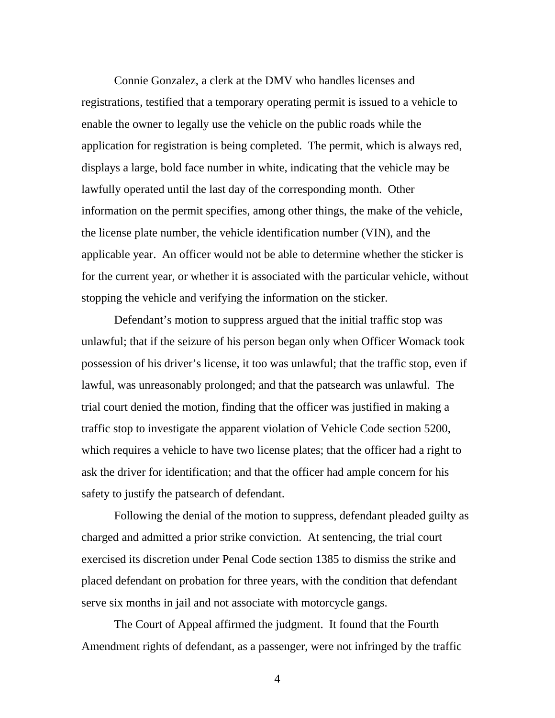Connie Gonzalez, a clerk at the DMV who handles licenses and registrations, testified that a temporary operating permit is issued to a vehicle to enable the owner to legally use the vehicle on the public roads while the application for registration is being completed. The permit, which is always red, displays a large, bold face number in white, indicating that the vehicle may be lawfully operated until the last day of the corresponding month. Other information on the permit specifies, among other things, the make of the vehicle, the license plate number, the vehicle identification number (VIN), and the applicable year. An officer would not be able to determine whether the sticker is for the current year, or whether it is associated with the particular vehicle, without stopping the vehicle and verifying the information on the sticker.

Defendant's motion to suppress argued that the initial traffic stop was unlawful; that if the seizure of his person began only when Officer Womack took possession of his driver's license, it too was unlawful; that the traffic stop, even if lawful, was unreasonably prolonged; and that the patsearch was unlawful. The trial court denied the motion, finding that the officer was justified in making a traffic stop to investigate the apparent violation of Vehicle Code section 5200, which requires a vehicle to have two license plates; that the officer had a right to ask the driver for identification; and that the officer had ample concern for his safety to justify the patsearch of defendant.

Following the denial of the motion to suppress, defendant pleaded guilty as charged and admitted a prior strike conviction. At sentencing, the trial court exercised its discretion under Penal Code section 1385 to dismiss the strike and placed defendant on probation for three years, with the condition that defendant serve six months in jail and not associate with motorcycle gangs.

The Court of Appeal affirmed the judgment. It found that the Fourth Amendment rights of defendant, as a passenger, were not infringed by the traffic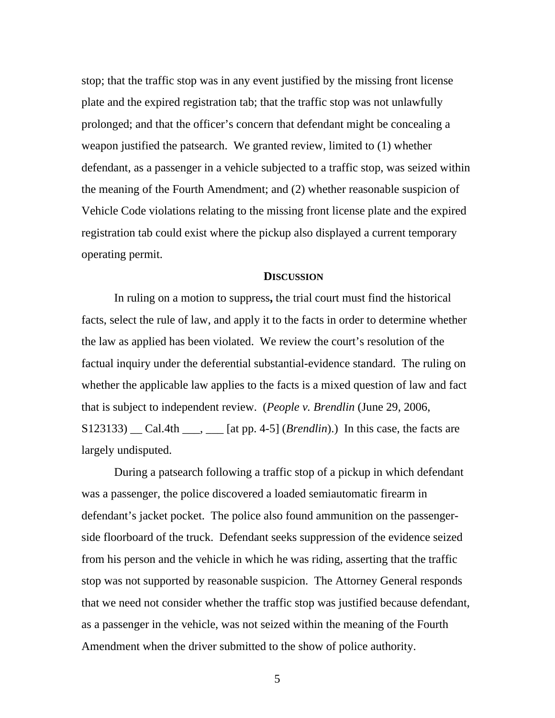stop; that the traffic stop was in any event justified by the missing front license plate and the expired registration tab; that the traffic stop was not unlawfully prolonged; and that the officer's concern that defendant might be concealing a weapon justified the patsearch. We granted review, limited to (1) whether defendant, as a passenger in a vehicle subjected to a traffic stop, was seized within the meaning of the Fourth Amendment; and (2) whether reasonable suspicion of Vehicle Code violations relating to the missing front license plate and the expired registration tab could exist where the pickup also displayed a current temporary operating permit.

### **DISCUSSION**

In ruling on a motion to suppress**,** the trial court must find the historical facts, select the rule of law, and apply it to the facts in order to determine whether the law as applied has been violated. We review the court's resolution of the factual inquiry under the deferential substantial-evidence standard. The ruling on whether the applicable law applies to the facts is a mixed question of law and fact that is subject to independent review. (*People v. Brendlin* (June 29, 2006, S123133) \_\_ Cal.4th \_\_\_, \_\_\_ [at pp. 4-5] (*Brendlin*).) In this case, the facts are largely undisputed.

During a patsearch following a traffic stop of a pickup in which defendant was a passenger, the police discovered a loaded semiautomatic firearm in defendant's jacket pocket. The police also found ammunition on the passengerside floorboard of the truck. Defendant seeks suppression of the evidence seized from his person and the vehicle in which he was riding, asserting that the traffic stop was not supported by reasonable suspicion. The Attorney General responds that we need not consider whether the traffic stop was justified because defendant, as a passenger in the vehicle, was not seized within the meaning of the Fourth Amendment when the driver submitted to the show of police authority.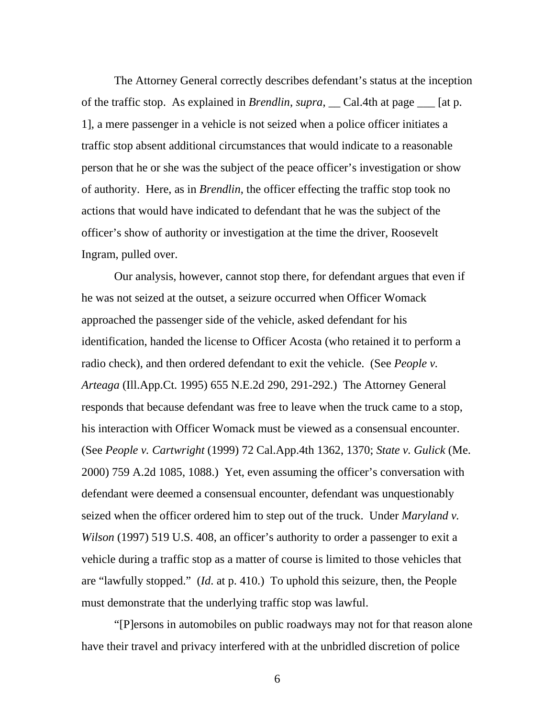The Attorney General correctly describes defendant's status at the inception of the traffic stop. As explained in *Brendlin*, *supra*, \_\_ Cal.4th at page \_\_\_ [at p. 1], a mere passenger in a vehicle is not seized when a police officer initiates a traffic stop absent additional circumstances that would indicate to a reasonable person that he or she was the subject of the peace officer's investigation or show of authority. Here, as in *Brendlin*, the officer effecting the traffic stop took no actions that would have indicated to defendant that he was the subject of the officer's show of authority or investigation at the time the driver, Roosevelt Ingram, pulled over.

Our analysis, however, cannot stop there, for defendant argues that even if he was not seized at the outset, a seizure occurred when Officer Womack approached the passenger side of the vehicle, asked defendant for his identification, handed the license to Officer Acosta (who retained it to perform a radio check), and then ordered defendant to exit the vehicle. (See *People v. Arteaga* (Ill.App.Ct. 1995) 655 N.E.2d 290, 291-292.) The Attorney General responds that because defendant was free to leave when the truck came to a stop, his interaction with Officer Womack must be viewed as a consensual encounter. (See *People v. Cartwright* (1999) 72 Cal.App.4th 1362, 1370; *State v. Gulick* (Me. 2000) 759 A.2d 1085, 1088.) Yet, even assuming the officer's conversation with defendant were deemed a consensual encounter, defendant was unquestionably seized when the officer ordered him to step out of the truck. Under *Maryland v. Wilson* (1997) 519 U.S. 408, an officer's authority to order a passenger to exit a vehicle during a traffic stop as a matter of course is limited to those vehicles that are "lawfully stopped." (*Id*. at p. 410.) To uphold this seizure, then, the People must demonstrate that the underlying traffic stop was lawful.

"[P]ersons in automobiles on public roadways may not for that reason alone have their travel and privacy interfered with at the unbridled discretion of police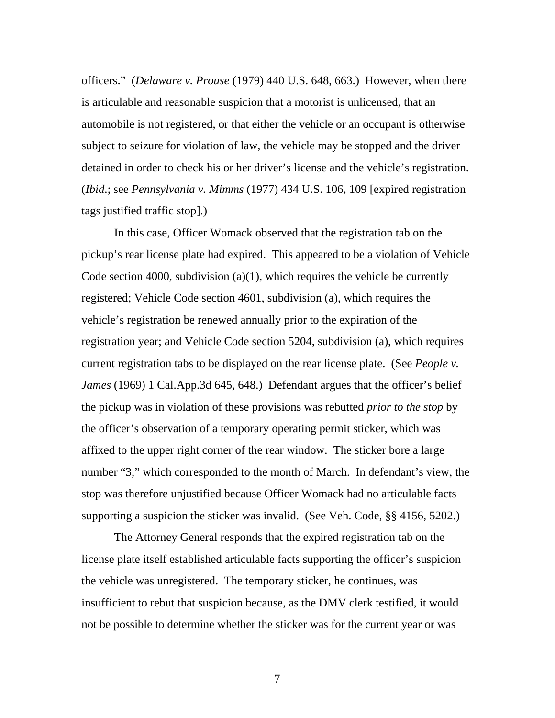officers." (*Delaware v. Prouse* (1979) 440 U.S. 648, 663.) However, when there is articulable and reasonable suspicion that a motorist is unlicensed, that an automobile is not registered, or that either the vehicle or an occupant is otherwise subject to seizure for violation of law, the vehicle may be stopped and the driver detained in order to check his or her driver's license and the vehicle's registration. (*Ibid*.; see *Pennsylvania v. Mimms* (1977) 434 U.S. 106, 109 [expired registration tags justified traffic stop].)

In this case, Officer Womack observed that the registration tab on the pickup's rear license plate had expired. This appeared to be a violation of Vehicle Code section 4000, subdivision (a)(1), which requires the vehicle be currently registered; Vehicle Code section 4601, subdivision (a), which requires the vehicle's registration be renewed annually prior to the expiration of the registration year; and Vehicle Code section 5204, subdivision (a), which requires current registration tabs to be displayed on the rear license plate. (See *People v. James* (1969) 1 Cal.App.3d 645, 648.) Defendant argues that the officer's belief the pickup was in violation of these provisions was rebutted *prior to the stop* by the officer's observation of a temporary operating permit sticker, which was affixed to the upper right corner of the rear window. The sticker bore a large number "3," which corresponded to the month of March. In defendant's view, the stop was therefore unjustified because Officer Womack had no articulable facts supporting a suspicion the sticker was invalid. (See Veh. Code, §§ 4156, 5202.)

The Attorney General responds that the expired registration tab on the license plate itself established articulable facts supporting the officer's suspicion the vehicle was unregistered. The temporary sticker, he continues, was insufficient to rebut that suspicion because, as the DMV clerk testified, it would not be possible to determine whether the sticker was for the current year or was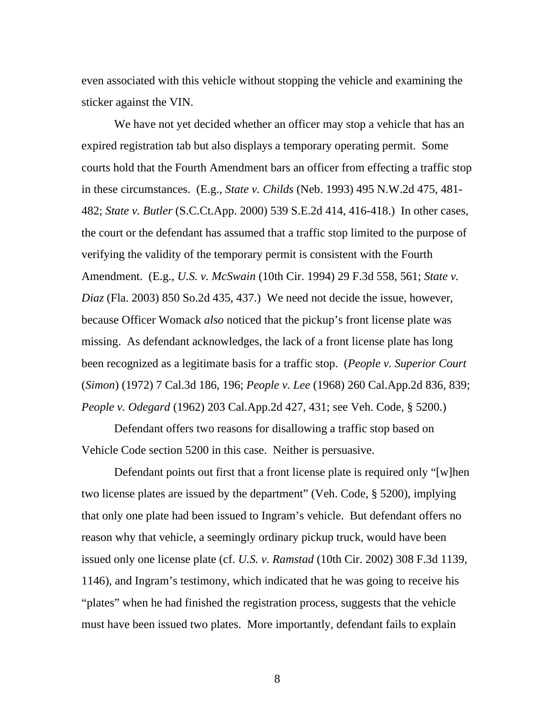even associated with this vehicle without stopping the vehicle and examining the sticker against the VIN.

We have not yet decided whether an officer may stop a vehicle that has an expired registration tab but also displays a temporary operating permit. Some courts hold that the Fourth Amendment bars an officer from effecting a traffic stop in these circumstances. (E.g., *State v. Childs* (Neb. 1993) 495 N.W.2d 475, 481- 482; *State v. Butler* (S.C.Ct.App. 2000) 539 S.E.2d 414, 416-418.) In other cases, the court or the defendant has assumed that a traffic stop limited to the purpose of verifying the validity of the temporary permit is consistent with the Fourth Amendment. (E.g., *U.S. v. McSwain* (10th Cir. 1994) 29 F.3d 558, 561; *State v. Diaz* (Fla. 2003) 850 So.2d 435, 437.) We need not decide the issue, however, because Officer Womack *also* noticed that the pickup's front license plate was missing. As defendant acknowledges, the lack of a front license plate has long been recognized as a legitimate basis for a traffic stop. (*People v. Superior Court* (*Simon*) (1972) 7 Cal.3d 186, 196; *People v. Lee* (1968) 260 Cal.App.2d 836, 839; *People v. Odegard* (1962) 203 Cal.App.2d 427, 431; see Veh. Code, § 5200.)

Defendant offers two reasons for disallowing a traffic stop based on Vehicle Code section 5200 in this case. Neither is persuasive.

Defendant points out first that a front license plate is required only "[w]hen two license plates are issued by the department" (Veh. Code, § 5200), implying that only one plate had been issued to Ingram's vehicle. But defendant offers no reason why that vehicle, a seemingly ordinary pickup truck, would have been issued only one license plate (cf. *U.S. v. Ramstad* (10th Cir. 2002) 308 F.3d 1139, 1146), and Ingram's testimony, which indicated that he was going to receive his "plates" when he had finished the registration process, suggests that the vehicle must have been issued two plates. More importantly, defendant fails to explain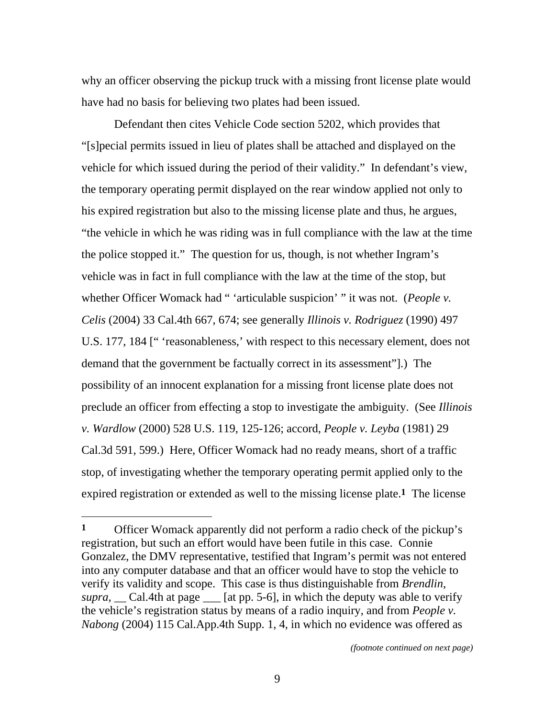why an officer observing the pickup truck with a missing front license plate would have had no basis for believing two plates had been issued.

Defendant then cites Vehicle Code section 5202, which provides that "[s]pecial permits issued in lieu of plates shall be attached and displayed on the vehicle for which issued during the period of their validity." In defendant's view, the temporary operating permit displayed on the rear window applied not only to his expired registration but also to the missing license plate and thus, he argues, "the vehicle in which he was riding was in full compliance with the law at the time the police stopped it." The question for us, though, is not whether Ingram's vehicle was in fact in full compliance with the law at the time of the stop, but whether Officer Womack had " 'articulable suspicion' " it was not. (*People v*. *Celis* (2004) 33 Cal.4th 667, 674; see generally *Illinois v. Rodriguez* (1990) 497 U.S. 177, 184 [" 'reasonableness,' with respect to this necessary element, does not demand that the government be factually correct in its assessment"].) The possibility of an innocent explanation for a missing front license plate does not preclude an officer from effecting a stop to investigate the ambiguity. (See *Illinois v. Wardlow* (2000) 528 U.S. 119, 125-126; accord, *People v. Leyba* (1981) 29 Cal.3d 591, 599.) Here, Officer Womack had no ready means, short of a traffic stop, of investigating whether the temporary operating permit applied only to the expired registration or extended as well to the missing license plate.**1** The license

 $\overline{a}$ 

*(footnote continued on next page)* 

**<sup>1</sup>** Officer Womack apparently did not perform a radio check of the pickup's registration, but such an effort would have been futile in this case. Connie Gonzalez, the DMV representative, testified that Ingram's permit was not entered into any computer database and that an officer would have to stop the vehicle to verify its validity and scope. This case is thus distinguishable from *Brendlin*, *supra*, \_\_ Cal.4th at page \_\_\_ [at pp. 5-6], in which the deputy was able to verify the vehicle's registration status by means of a radio inquiry, and from *People v. Nabong* (2004) 115 Cal.App.4th Supp. 1, 4, in which no evidence was offered as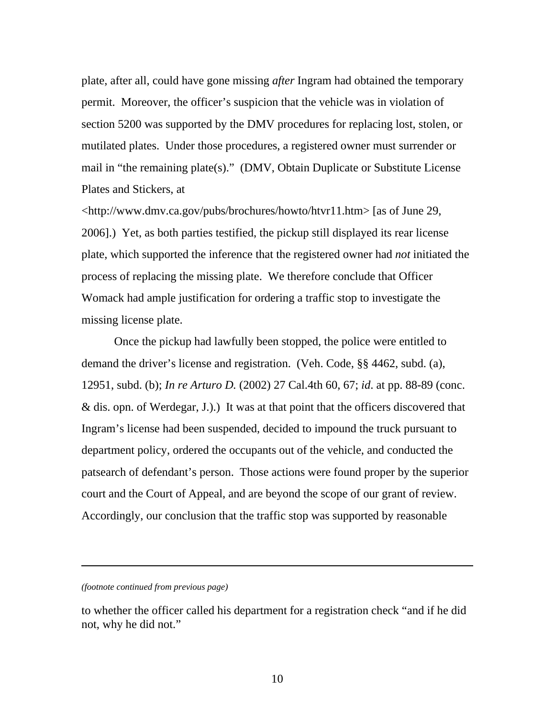plate, after all, could have gone missing *after* Ingram had obtained the temporary permit. Moreover, the officer's suspicion that the vehicle was in violation of section 5200 was supported by the DMV procedures for replacing lost, stolen, or mutilated plates. Under those procedures, a registered owner must surrender or mail in "the remaining plate(s)." (DMV, Obtain Duplicate or Substitute License Plates and Stickers, at

<http://www.dmv.ca.gov/pubs/brochures/howto/htvr11.htm> [as of June 29, 2006].) Yet, as both parties testified, the pickup still displayed its rear license plate, which supported the inference that the registered owner had *not* initiated the process of replacing the missing plate. We therefore conclude that Officer Womack had ample justification for ordering a traffic stop to investigate the missing license plate.

Once the pickup had lawfully been stopped, the police were entitled to demand the driver's license and registration. (Veh. Code, §§ 4462, subd. (a), 12951, subd. (b); *In re Arturo D.* (2002) 27 Cal.4th 60, 67; *id*. at pp. 88-89 (conc. & dis. opn. of Werdegar, J.).) It was at that point that the officers discovered that Ingram's license had been suspended, decided to impound the truck pursuant to department policy, ordered the occupants out of the vehicle, and conducted the patsearch of defendant's person. Those actions were found proper by the superior court and the Court of Appeal, and are beyond the scope of our grant of review. Accordingly, our conclusion that the traffic stop was supported by reasonable

*(footnote continued from previous page)* 

l

to whether the officer called his department for a registration check "and if he did not, why he did not."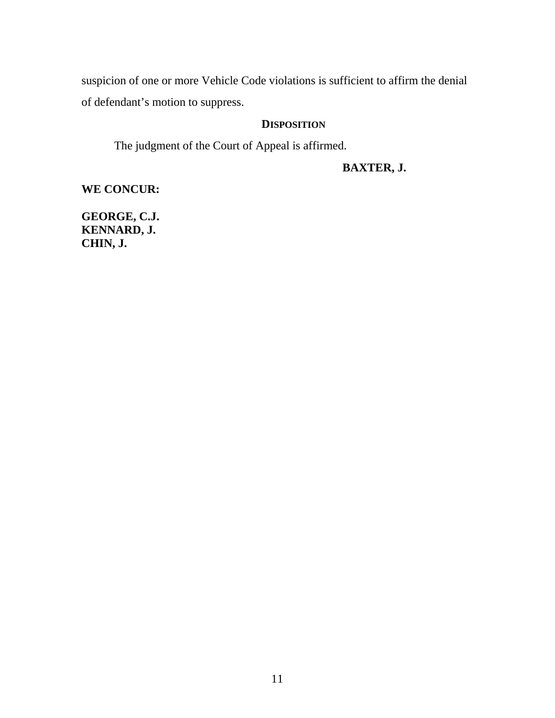suspicion of one or more Vehicle Code violations is sufficient to affirm the denial of defendant's motion to suppress.

# **DISPOSITION**

The judgment of the Court of Appeal is affirmed.

# **BAXTER, J.**

**WE CONCUR:** 

**GEORGE, C.J. KENNARD, J. CHIN, J.**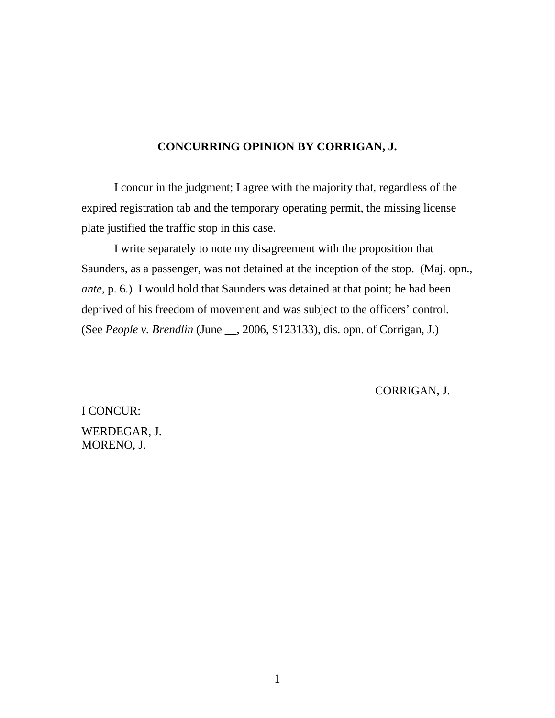## **CONCURRING OPINION BY CORRIGAN, J.**

 I concur in the judgment; I agree with the majority that, regardless of the expired registration tab and the temporary operating permit, the missing license plate justified the traffic stop in this case.

 I write separately to note my disagreement with the proposition that Saunders, as a passenger, was not detained at the inception of the stop. (Maj. opn., *ante*, p. 6.) I would hold that Saunders was detained at that point; he had been deprived of his freedom of movement and was subject to the officers' control. (See *People v. Brendlin* (June \_\_, 2006, S123133), dis. opn. of Corrigan, J.)

CORRIGAN, J.

I CONCUR: WERDEGAR, J. MORENO, J.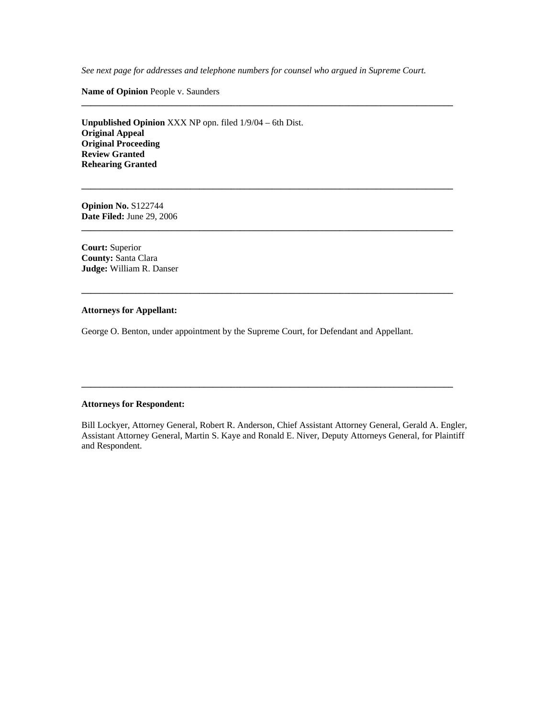*See next page for addresses and telephone numbers for counsel who argued in Supreme Court.* 

**\_\_\_\_\_\_\_\_\_\_\_\_\_\_\_\_\_\_\_\_\_\_\_\_\_\_\_\_\_\_\_\_\_\_\_\_\_\_\_\_\_\_\_\_\_\_\_\_\_\_\_\_\_\_\_\_\_\_\_\_\_\_\_\_\_\_\_\_\_\_\_\_\_\_\_\_\_\_\_\_\_\_** 

**\_\_\_\_\_\_\_\_\_\_\_\_\_\_\_\_\_\_\_\_\_\_\_\_\_\_\_\_\_\_\_\_\_\_\_\_\_\_\_\_\_\_\_\_\_\_\_\_\_\_\_\_\_\_\_\_\_\_\_\_\_\_\_\_\_\_\_\_\_\_\_\_\_\_\_\_\_\_\_\_\_\_** 

**\_\_\_\_\_\_\_\_\_\_\_\_\_\_\_\_\_\_\_\_\_\_\_\_\_\_\_\_\_\_\_\_\_\_\_\_\_\_\_\_\_\_\_\_\_\_\_\_\_\_\_\_\_\_\_\_\_\_\_\_\_\_\_\_\_\_\_\_\_\_\_\_\_\_\_\_\_\_\_\_\_\_** 

**\_\_\_\_\_\_\_\_\_\_\_\_\_\_\_\_\_\_\_\_\_\_\_\_\_\_\_\_\_\_\_\_\_\_\_\_\_\_\_\_\_\_\_\_\_\_\_\_\_\_\_\_\_\_\_\_\_\_\_\_\_\_\_\_\_\_\_\_\_\_\_\_\_\_\_\_\_\_\_\_\_\_** 

**Name of Opinion** People v. Saunders

**Unpublished Opinion** XXX NP opn. filed 1/9/04 – 6th Dist. **Original Appeal Original Proceeding Review Granted Rehearing Granted** 

**Opinion No.** S122744 **Date Filed:** June 29, 2006

**Court:** Superior **County:** Santa Clara **Judge:** William R. Danser

### **Attorneys for Appellant:**

George O. Benton, under appointment by the Supreme Court, for Defendant and Appellant.

#### **Attorneys for Respondent:**

Bill Lockyer, Attorney General, Robert R. Anderson, Chief Assistant Attorney General, Gerald A. Engler, Assistant Attorney General, Martin S. Kaye and Ronald E. Niver, Deputy Attorneys General, for Plaintiff and Respondent.

**\_\_\_\_\_\_\_\_\_\_\_\_\_\_\_\_\_\_\_\_\_\_\_\_\_\_\_\_\_\_\_\_\_\_\_\_\_\_\_\_\_\_\_\_\_\_\_\_\_\_\_\_\_\_\_\_\_\_\_\_\_\_\_\_\_\_\_\_\_\_\_\_\_\_\_\_\_\_\_\_\_\_**